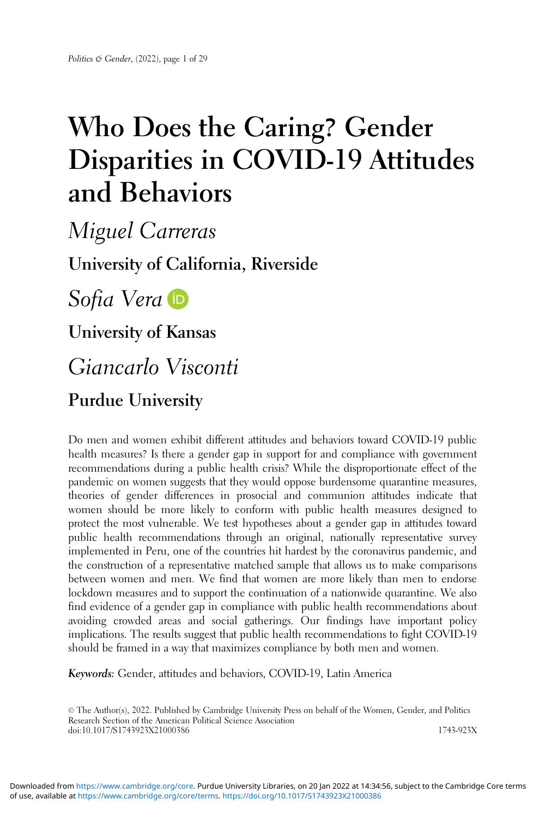# Who Does the Caring? Gender Disparities in COVID-19 Attitudes and Behaviors

Miguel Carreras University of California, Riverside Sofia Vera **D** University of Kansas Giancarlo Visconti Purdue University

Do men and women exhibit different attitudes and behaviors toward COVID-19 public health measures? Is there a gender gap in support for and compliance with government recommendations during a public health crisis? While the disproportionate effect of the pandemic on women suggests that they would oppose burdensome quarantine measures, theories of gender differences in prosocial and communion attitudes indicate that women should be more likely to conform with public health measures designed to protect the most vulnerable. We test hypotheses about a gender gap in attitudes toward public health recommendations through an original, nationally representative survey implemented in Peru, one of the countries hit hardest by the coronavirus pandemic, and the construction of a representative matched sample that allows us to make comparisons between women and men. We find that women are more likely than men to endorse lockdown measures and to support the continuation of a nationwide quarantine. We also find evidence of a gender gap in compliance with public health recommendations about avoiding crowded areas and social gatherings. Our findings have important policy implications. The results suggest that public health recommendations to fight COVID-19 should be framed in a way that maximizes compliance by both men and women.

Keywords: Gender, attitudes and behaviors, COVID-19, Latin America

© The Author(s), 2022. Published by Cambridge University Press on behalf of the Women, Gender, and Politics Research Section of the American Political Science Association doi:10.1017/S1743923X21000386 1743-923X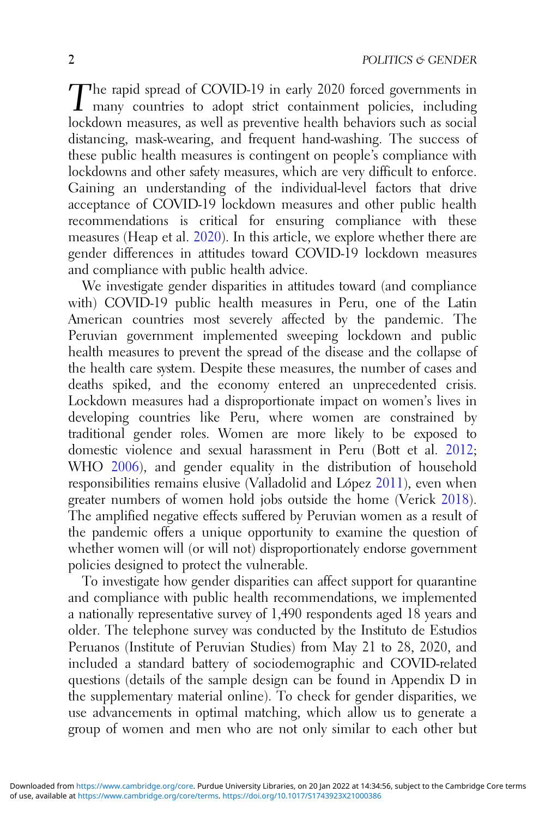The rapid spread of COVID-19 in early 2020 forced governments in many countries to adopt strict containment policies, including lockdown measures, as well as preventive health behaviors such as social distancing, mask-wearing, and frequent hand-washing. The success of these public health measures is contingent on people's compliance with lockdowns and other safety measures, which are very difficult to enforce. Gaining an understanding of the individual-level factors that drive acceptance of COVID-19 lockdown measures and other public health recommendations is critical for ensuring compliance with these measures (Heap et al. [2020](#page-25-0)). In this article, we explore whether there are gender differences in attitudes toward COVID-19 lockdown measures and compliance with public health advice.

We investigate gender disparities in attitudes toward (and compliance with) COVID-19 public health measures in Peru, one of the Latin American countries most severely affected by the pandemic. The Peruvian government implemented sweeping lockdown and public health measures to prevent the spread of the disease and the collapse of the health care system. Despite these measures, the number of cases and deaths spiked, and the economy entered an unprecedented crisis. Lockdown measures had a disproportionate impact on women's lives in developing countries like Peru, where women are constrained by traditional gender roles. Women are more likely to be exposed to domestic violence and sexual harassment in Peru (Bott et al. [2012](#page-23-0); WHO [2006](#page-28-0)), and gender equality in the distribution of household responsibilities remains elusive (Valladolid and López [2011\)](#page-27-0), even when greater numbers of women hold jobs outside the home (Verick [2018\)](#page-28-0). The amplified negative effects suffered by Peruvian women as a result of the pandemic offers a unique opportunity to examine the question of whether women will (or will not) disproportionately endorse government policies designed to protect the vulnerable.

To investigate how gender disparities can affect support for quarantine and compliance with public health recommendations, we implemented a nationally representative survey of 1,490 respondents aged 18 years and older. The telephone survey was conducted by the Instituto de Estudios Peruanos (Institute of Peruvian Studies) from May 21 to 28, 2020, and included a standard battery of sociodemographic and COVID-related questions (details of the sample design can be found in Appendix D in the supplementary material online). To check for gender disparities, we use advancements in optimal matching, which allow us to generate a group of women and men who are not only similar to each other but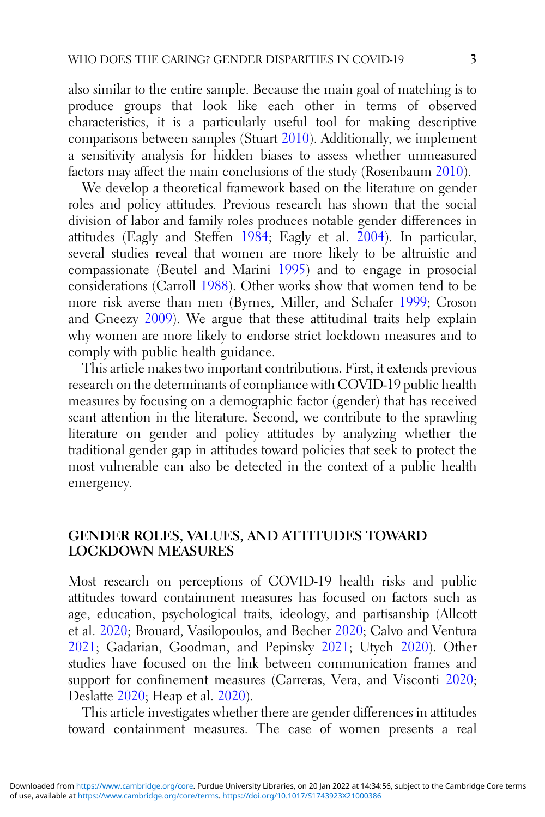also similar to the entire sample. Because the main goal of matching is to produce groups that look like each other in terms of observed characteristics, it is a particularly useful tool for making descriptive comparisons between samples (Stuart [2010](#page-27-0)). Additionally, we implement a sensitivity analysis for hidden biases to assess whether unmeasured factors may affect the main conclusions of the study (Rosenbaum [2010](#page-27-0)).

We develop a theoretical framework based on the literature on gender roles and policy attitudes. Previous research has shown that the social division of labor and family roles produces notable gender differences in attitudes (Eagly and Steffen [1984;](#page-24-0) Eagly et al. [2004\)](#page-24-0). In particular, several studies reveal that women are more likely to be altruistic and compassionate (Beutel and Marini [1995](#page-23-0)) and to engage in prosocial considerations (Carroll [1988\)](#page-24-0). Other works show that women tend to be more risk averse than men (Byrnes, Miller, and Schafer [1999](#page-23-0); Croson and Gneezy [2009\)](#page-24-0). We argue that these attitudinal traits help explain why women are more likely to endorse strict lockdown measures and to comply with public health guidance.

This article makes two important contributions. First, it extends previous research on the determinants of compliance with COVID-19 public health measures by focusing on a demographic factor (gender) that has received scant attention in the literature. Second, we contribute to the sprawling literature on gender and policy attitudes by analyzing whether the traditional gender gap in attitudes toward policies that seek to protect the most vulnerable can also be detected in the context of a public health emergency.

## GENDER ROLES, VALUES, AND ATTITUDES TOWARD LOCKDOWN MEASURES

Most research on perceptions of COVID-19 health risks and public attitudes toward containment measures has focused on factors such as age, education, psychological traits, ideology, and partisanship (Allcott et al. [2020](#page-23-0); Brouard, Vasilopoulos, and Becher [2020;](#page-23-0) Calvo and Ventura [2021](#page-24-0); Gadarian, Goodman, and Pepinsky [2021;](#page-25-0) Utych [2020\)](#page-27-0). Other studies have focused on the link between communication frames and support for confinement measures (Carreras, Vera, and Visconti [2020](#page-24-0); Deslatte [2020;](#page-24-0) Heap et al. [2020\)](#page-25-0).

This article investigates whether there are gender differences in attitudes toward containment measures. The case of women presents a real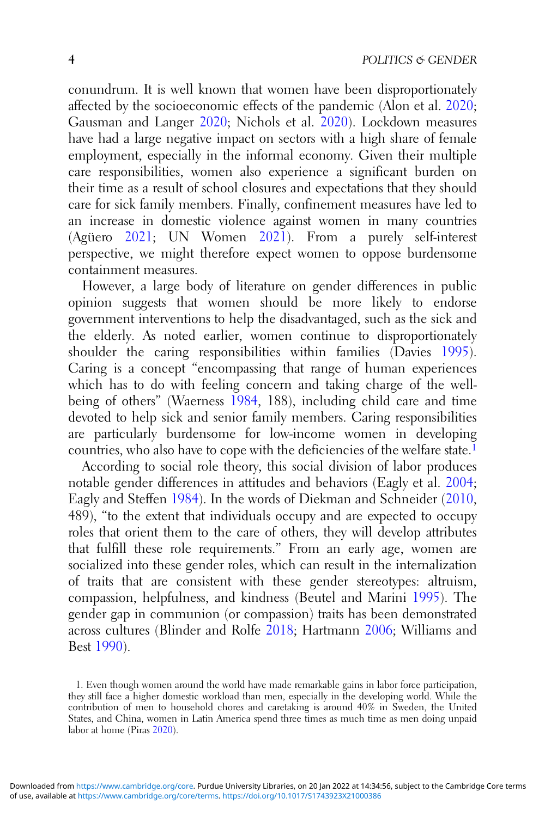conundrum. It is well known that women have been disproportionately affected by the socioeconomic effects of the pandemic (Alon et al. [2020](#page-23-0); Gausman and Langer [2020](#page-25-0); Nichols et al. [2020\)](#page-26-0). Lockdown measures have had a large negative impact on sectors with a high share of female employment, especially in the informal economy. Given their multiple care responsibilities, women also experience a significant burden on their time as a result of school closures and expectations that they should care for sick family members. Finally, confinement measures have led to an increase in domestic violence against women in many countries (Agüero [2021;](#page-23-0) UN Women [2021](#page-27-0)). From a purely self-interest perspective, we might therefore expect women to oppose burdensome containment measures.

However, a large body of literature on gender differences in public opinion suggests that women should be more likely to endorse government interventions to help the disadvantaged, such as the sick and the elderly. As noted earlier, women continue to disproportionately shoulder the caring responsibilities within families (Davies [1995\)](#page-24-0). Caring is a concept "encompassing that range of human experiences which has to do with feeling concern and taking charge of the well-being of others" (Waerness [1984](#page-28-0), 188), including child care and time devoted to help sick and senior family members. Caring responsibilities are particularly burdensome for low-income women in developing countries, who also have to cope with the deficiencies of the welfare state.<sup>1</sup>

According to social role theory, this social division of labor produces notable gender differences in attitudes and behaviors (Eagly et al. [2004](#page-24-0); Eagly and Steffen [1984](#page-24-0)). In the words of Diekman and Schneider [\(2010](#page-24-0), 489), "to the extent that individuals occupy and are expected to occupy roles that orient them to the care of others, they will develop attributes that fulfill these role requirements." From an early age, women are socialized into these gender roles, which can result in the internalization of traits that are consistent with these gender stereotypes: altruism, compassion, helpfulness, and kindness (Beutel and Marini [1995\)](#page-23-0). The gender gap in communion (or compassion) traits has been demonstrated across cultures (Blinder and Rolfe [2018;](#page-23-0) Hartmann [2006](#page-25-0); Williams and Best [1990](#page-28-0)).

<sup>1.</sup> Even though women around the world have made remarkable gains in labor force participation, they still face a higher domestic workload than men, especially in the developing world. While the contribution of men to household chores and caretaking is around 40% in Sweden, the United States, and China, women in Latin America spend three times as much time as men doing unpaid labor at home (Piras [2020\)](#page-26-0).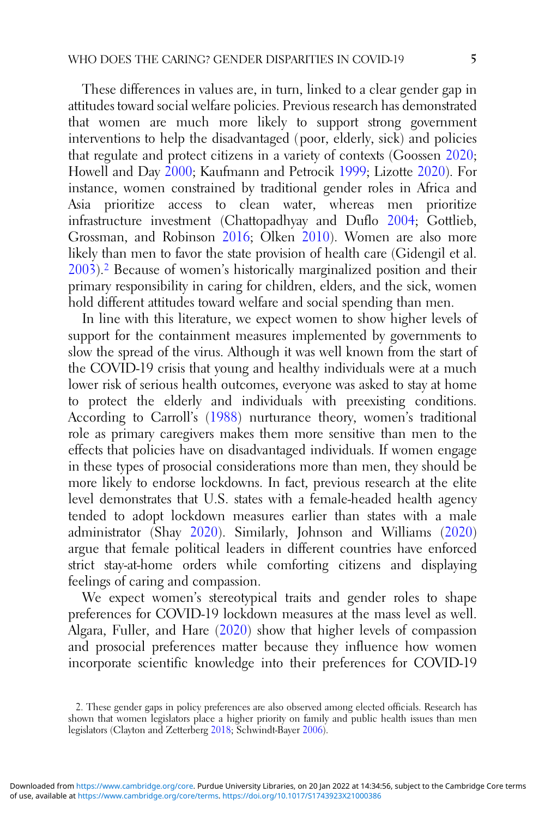These differences in values are, in turn, linked to a clear gender gap in attitudes toward social welfare policies. Previous research has demonstrated that women are much more likely to support strong government interventions to help the disadvantaged (poor, elderly, sick) and policies that regulate and protect citizens in a variety of contexts (Goossen [2020](#page-25-0); Howell and Day [2000](#page-25-0); Kaufmann and Petrocik [1999](#page-26-0); Lizotte [2020\)](#page-26-0). For instance, women constrained by traditional gender roles in Africa and Asia prioritize access to clean water, whereas men prioritize infrastructure investment (Chattopadhyay and Duflo [2004;](#page-24-0) Gottlieb, Grossman, and Robinson [2016](#page-25-0); Olken [2010](#page-26-0)). Women are also more likely than men to favor the state provision of health care (Gidengil et al. [2003](#page-25-0)).2 Because of women's historically marginalized position and their primary responsibility in caring for children, elders, and the sick, women hold different attitudes toward welfare and social spending than men.

In line with this literature, we expect women to show higher levels of support for the containment measures implemented by governments to slow the spread of the virus. Although it was well known from the start of the COVID-19 crisis that young and healthy individuals were at a much lower risk of serious health outcomes, everyone was asked to stay at home to protect the elderly and individuals with preexisting conditions. According to Carroll's [\(1988](#page-24-0)) nurturance theory, women's traditional role as primary caregivers makes them more sensitive than men to the effects that policies have on disadvantaged individuals. If women engage in these types of prosocial considerations more than men, they should be more likely to endorse lockdowns. In fact, previous research at the elite level demonstrates that U.S. states with a female-headed health agency tended to adopt lockdown measures earlier than states with a male administrator (Shay [2020\)](#page-27-0). Similarly, Johnson and Williams [\(2020](#page-26-0)) argue that female political leaders in different countries have enforced strict stay-at-home orders while comforting citizens and displaying feelings of caring and compassion.

We expect women's stereotypical traits and gender roles to shape preferences for COVID-19 lockdown measures at the mass level as well. Algara, Fuller, and Hare ([2020\)](#page-23-0) show that higher levels of compassion and prosocial preferences matter because they influence how women incorporate scientific knowledge into their preferences for COVID-19

<sup>2.</sup> These gender gaps in policy preferences are also observed among elected officials. Research has shown that women legislators place a higher priority on family and public health issues than men legislators (Clayton and Zetterberg [2018](#page-24-0); Schwindt-Bayer [2006\)](#page-27-0).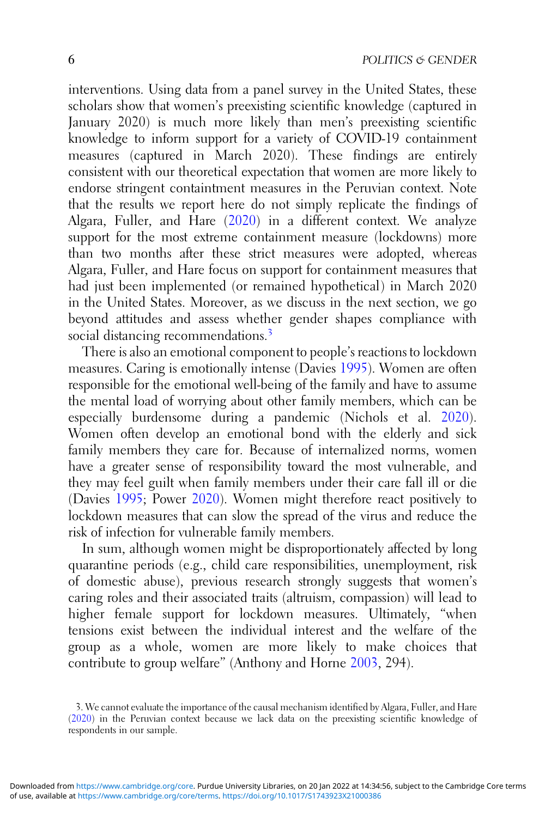interventions. Using data from a panel survey in the United States, these scholars show that women's preexisting scientific knowledge (captured in January 2020) is much more likely than men's preexisting scientific knowledge to inform support for a variety of COVID-19 containment measures (captured in March 2020). These findings are entirely consistent with our theoretical expectation that women are more likely to endorse stringent containtment measures in the Peruvian context. Note that the results we report here do not simply replicate the findings of Algara, Fuller, and Hare ([2020\)](#page-23-0) in a different context. We analyze support for the most extreme containment measure (lockdowns) more than two months after these strict measures were adopted, whereas Algara, Fuller, and Hare focus on support for containment measures that had just been implemented (or remained hypothetical) in March 2020 in the United States. Moreover, as we discuss in the next section, we go beyond attitudes and assess whether gender shapes compliance with social distancing recommendations.<sup>3</sup>

There is also an emotional component to people's reactions to lockdown measures. Caring is emotionally intense (Davies [1995](#page-24-0)). Women are often responsible for the emotional well-being of the family and have to assume the mental load of worrying about other family members, which can be especially burdensome during a pandemic (Nichols et al. [2020\)](#page-26-0). Women often develop an emotional bond with the elderly and sick family members they care for. Because of internalized norms, women have a greater sense of responsibility toward the most vulnerable, and they may feel guilt when family members under their care fall ill or die (Davies [1995](#page-24-0); Power [2020\)](#page-27-0). Women might therefore react positively to lockdown measures that can slow the spread of the virus and reduce the risk of infection for vulnerable family members.

In sum, although women might be disproportionately affected by long quarantine periods (e.g., child care responsibilities, unemployment, risk of domestic abuse), previous research strongly suggests that women's caring roles and their associated traits (altruism, compassion) will lead to higher female support for lockdown measures. Ultimately, "when tensions exist between the individual interest and the welfare of the group as a whole, women are more likely to make choices that contribute to group welfare" (Anthony and Horne [2003,](#page-23-0) 294).

<sup>3.</sup> We cannot evaluate the importance of the causal mechanism identified by Algara, Fuller, and Hare ([2020\)](#page-23-0) in the Peruvian context because we lack data on the preexisting scientific knowledge of respondents in our sample.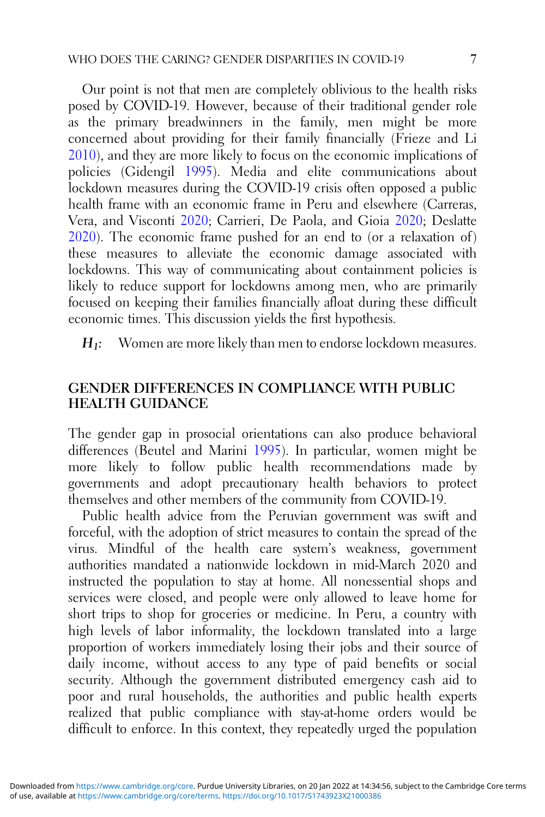Our point is not that men are completely oblivious to the health risks posed by COVID-19. However, because of their traditional gender role as the primary breadwinners in the family, men might be more concerned about providing for their family financially (Frieze and Li [2010](#page-25-0)), and they are more likely to focus on the economic implications of policies (Gidengil [1995](#page-25-0)). Media and elite communications about lockdown measures during the COVID-19 crisis often opposed a public health frame with an economic frame in Peru and elsewhere (Carreras, Vera, and Visconti [2020](#page-24-0); Carrieri, De Paola, and Gioia [2020](#page-24-0); Deslatte  $2020$ ). The economic frame pushed for an end to (or a relaxation of) these measures to alleviate the economic damage associated with lockdowns. This way of communicating about containment policies is likely to reduce support for lockdowns among men, who are primarily focused on keeping their families financially afloat during these difficult economic times. This discussion yields the first hypothesis.

 $H_1$ : Women are more likely than men to endorse lockdown measures.

## GENDER DIFFERENCES IN COMPLIANCE WITH PUBLIC HEALTH GUIDANCE

The gender gap in prosocial orientations can also produce behavioral differences (Beutel and Marini [1995\)](#page-23-0). In particular, women might be more likely to follow public health recommendations made by governments and adopt precautionary health behaviors to protect themselves and other members of the community from COVID-19.

Public health advice from the Peruvian government was swift and forceful, with the adoption of strict measures to contain the spread of the virus. Mindful of the health care system's weakness, government authorities mandated a nationwide lockdown in mid-March 2020 and instructed the population to stay at home. All nonessential shops and services were closed, and people were only allowed to leave home for short trips to shop for groceries or medicine. In Peru, a country with high levels of labor informality, the lockdown translated into a large proportion of workers immediately losing their jobs and their source of daily income, without access to any type of paid benefits or social security. Although the government distributed emergency cash aid to poor and rural households, the authorities and public health experts realized that public compliance with stay-at-home orders would be difficult to enforce. In this context, they repeatedly urged the population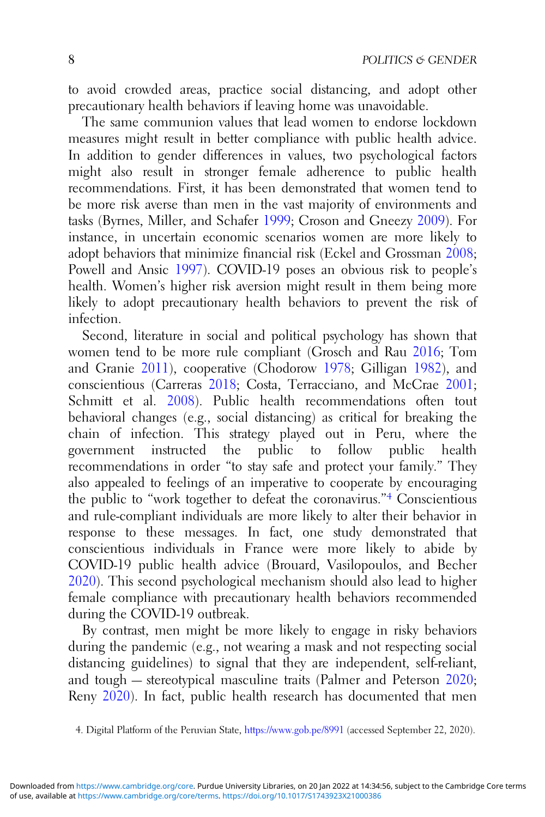to avoid crowded areas, practice social distancing, and adopt other precautionary health behaviors if leaving home was unavoidable.

The same communion values that lead women to endorse lockdown measures might result in better compliance with public health advice. In addition to gender differences in values, two psychological factors might also result in stronger female adherence to public health recommendations. First, it has been demonstrated that women tend to be more risk averse than men in the vast majority of environments and tasks (Byrnes, Miller, and Schafer [1999](#page-23-0); Croson and Gneezy [2009\)](#page-24-0). For instance, in uncertain economic scenarios women are more likely to adopt behaviors that minimize financial risk (Eckel and Grossman [2008](#page-24-0); Powell and Ansic [1997\)](#page-27-0). COVID-19 poses an obvious risk to people's health. Women's higher risk aversion might result in them being more likely to adopt precautionary health behaviors to prevent the risk of infection.

Second, literature in social and political psychology has shown that women tend to be more rule compliant (Grosch and Rau [2016](#page-25-0); Tom and Granie [2011\)](#page-27-0), cooperative (Chodorow [1978](#page-24-0); Gilligan [1982\)](#page-25-0), and conscientious (Carreras [2018](#page-24-0); Costa, Terracciano, and McCrae [2001](#page-24-0); Schmitt et al. [2008](#page-27-0)). Public health recommendations often tout behavioral changes (e.g., social distancing) as critical for breaking the chain of infection. This strategy played out in Peru, where the public to follow public health recommendations in order "to stay safe and protect your family." They also appealed to feelings of an imperative to cooperate by encouraging the public to "work together to defeat the coronavirus."<sup>4</sup> Conscientious and rule-compliant individuals are more likely to alter their behavior in response to these messages. In fact, one study demonstrated that conscientious individuals in France were more likely to abide by COVID-19 public health advice (Brouard, Vasilopoulos, and Becher [2020](#page-23-0)). This second psychological mechanism should also lead to higher female compliance with precautionary health behaviors recommended during the COVID-19 outbreak.

By contrast, men might be more likely to engage in risky behaviors during the pandemic (e.g., not wearing a mask and not respecting social distancing guidelines) to signal that they are independent, self-reliant, and tough — stereotypical masculine traits (Palmer and Peterson [2020](#page-26-0); Reny [2020](#page-27-0)). In fact, public health research has documented that men

<sup>4.</sup> Digital Platform of the Peruvian State, <https://www.gob.pe/8991> (accessed September 22, 2020).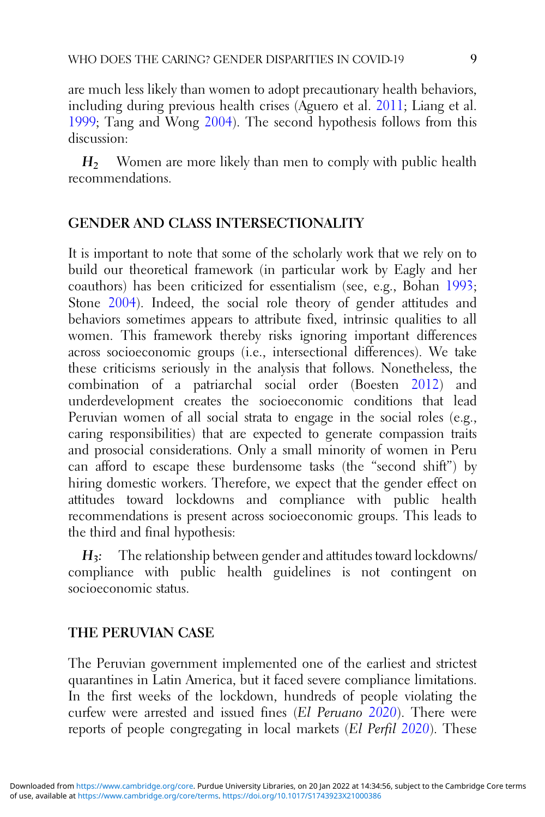are much less likely than women to adopt precautionary health behaviors, including during previous health crises (Aguero et al. [2011;](#page-23-0) Liang et al. [1999](#page-26-0); Tang and Wong [2004](#page-27-0)). The second hypothesis follows from this discussion:

 $H<sub>2</sub>$  Women are more likely than men to comply with public health recommendations.

# GENDER AND CLASS INTERSECTIONALITY

It is important to note that some of the scholarly work that we rely on to build our theoretical framework (in particular work by Eagly and her coauthors) has been criticized for essentialism (see, e.g., Bohan [1993](#page-23-0); Stone [2004\)](#page-27-0). Indeed, the social role theory of gender attitudes and behaviors sometimes appears to attribute fixed, intrinsic qualities to all women. This framework thereby risks ignoring important differences across socioeconomic groups (i.e., intersectional differences). We take these criticisms seriously in the analysis that follows. Nonetheless, the combination of a patriarchal social order (Boesten [2012](#page-23-0)) and underdevelopment creates the socioeconomic conditions that lead Peruvian women of all social strata to engage in the social roles (e.g., caring responsibilities) that are expected to generate compassion traits and prosocial considerations. Only a small minority of women in Peru can afford to escape these burdensome tasks (the "second shift") by hiring domestic workers. Therefore, we expect that the gender effect on attitudes toward lockdowns and compliance with public health recommendations is present across socioeconomic groups. This leads to the third and final hypothesis:

 $H_3$ : The relationship between gender and attitudes toward lockdowns/ compliance with public health guidelines is not contingent on socioeconomic status.

## THE PERUVIAN CASE

The Peruvian government implemented one of the earliest and strictest quarantines in Latin America, but it faced severe compliance limitations. In the first weeks of the lockdown, hundreds of people violating the curfew were arrested and issued fines (El Peruano [2020](#page-25-0)). There were reports of people congregating in local markets (El Perfil [2020](#page-24-0)). These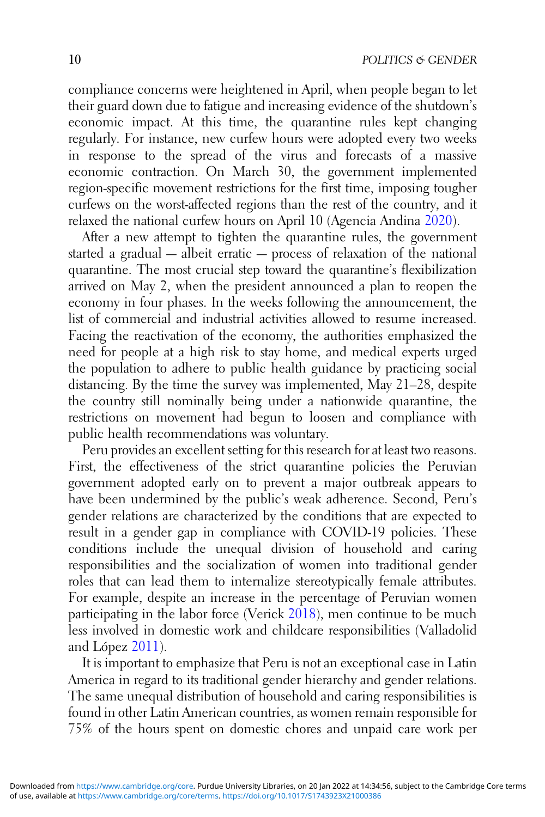compliance concerns were heightened in April, when people began to let their guard down due to fatigue and increasing evidence of the shutdown's economic impact. At this time, the quarantine rules kept changing regularly. For instance, new curfew hours were adopted every two weeks in response to the spread of the virus and forecasts of a massive economic contraction. On March 30, the government implemented region-specific movement restrictions for the first time, imposing tougher curfews on the worst-affected regions than the rest of the country, and it relaxed the national curfew hours on April 10 (Agencia Andina [2020\)](#page-22-0).

After a new attempt to tighten the quarantine rules, the government started a gradual — albeit erratic — process of relaxation of the national quarantine. The most crucial step toward the quarantine's flexibilization arrived on May 2, when the president announced a plan to reopen the economy in four phases. In the weeks following the announcement, the list of commercial and industrial activities allowed to resume increased. Facing the reactivation of the economy, the authorities emphasized the need for people at a high risk to stay home, and medical experts urged the population to adhere to public health guidance by practicing social distancing. By the time the survey was implemented, May 21–28, despite the country still nominally being under a nationwide quarantine, the restrictions on movement had begun to loosen and compliance with public health recommendations was voluntary.

Peru provides an excellent setting for this research for at least two reasons. First, the effectiveness of the strict quarantine policies the Peruvian government adopted early on to prevent a major outbreak appears to have been undermined by the public's weak adherence. Second, Peru's gender relations are characterized by the conditions that are expected to result in a gender gap in compliance with COVID-19 policies. These conditions include the unequal division of household and caring responsibilities and the socialization of women into traditional gender roles that can lead them to internalize stereotypically female attributes. For example, despite an increase in the percentage of Peruvian women participating in the labor force (Verick [2018](#page-28-0)), men continue to be much less involved in domestic work and childcare responsibilities (Valladolid and López [2011](#page-27-0)).

It is important to emphasize that Peru is not an exceptional case in Latin America in regard to its traditional gender hierarchy and gender relations. The same unequal distribution of household and caring responsibilities is found in other Latin American countries, as women remain responsible for 75% of the hours spent on domestic chores and unpaid care work per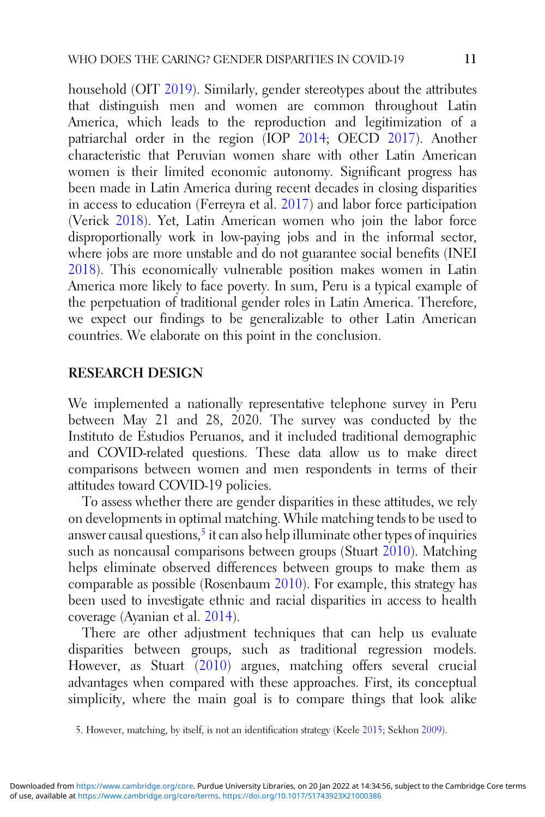household (OIT [2019](#page-26-0)). Similarly, gender stereotypes about the attributes that distinguish men and women are common throughout Latin America, which leads to the reproduction and legitimization of a patriarchal order in the region (IOP [2014](#page-26-0); OECD [2017](#page-26-0)). Another characteristic that Peruvian women share with other Latin American women is their limited economic autonomy. Significant progress has been made in Latin America during recent decades in closing disparities in access to education (Ferreyra et al. [2017\)](#page-25-0) and labor force participation (Verick [2018\)](#page-28-0). Yet, Latin American women who join the labor force disproportionally work in low-paying jobs and in the informal sector, where jobs are more unstable and do not guarantee social benefits (INEI [2018](#page-25-0)). This economically vulnerable position makes women in Latin America more likely to face poverty. In sum, Peru is a typical example of the perpetuation of traditional gender roles in Latin America. Therefore, we expect our findings to be generalizable to other Latin American countries. We elaborate on this point in the conclusion.

#### RESEARCH DESIGN

We implemented a nationally representative telephone survey in Peru between May 21 and 28, 2020. The survey was conducted by the Instituto de Estudios Peruanos, and it included traditional demographic and COVID-related questions. These data allow us to make direct comparisons between women and men respondents in terms of their attitudes toward COVID-19 policies.

To assess whether there are gender disparities in these attitudes, we rely on developments in optimal matching. While matching tends to be used to answer causal questions,<sup>5</sup> it can also help illuminate other types of inquiries such as noncausal comparisons between groups (Stuart [2010](#page-27-0)). Matching helps eliminate observed differences between groups to make them as comparable as possible (Rosenbaum [2010](#page-27-0)). For example, this strategy has been used to investigate ethnic and racial disparities in access to health coverage (Ayanian et al. [2014](#page-23-0)).

There are other adjustment techniques that can help us evaluate disparities between groups, such as traditional regression models. However, as Stuart ([2010\)](#page-27-0) argues, matching offers several crucial advantages when compared with these approaches. First, its conceptual simplicity, where the main goal is to compare things that look alike

<sup>5.</sup> However, matching, by itself, is not an identification strategy (Keele [2015](#page-26-0); Sekhon [2009](#page-27-0)).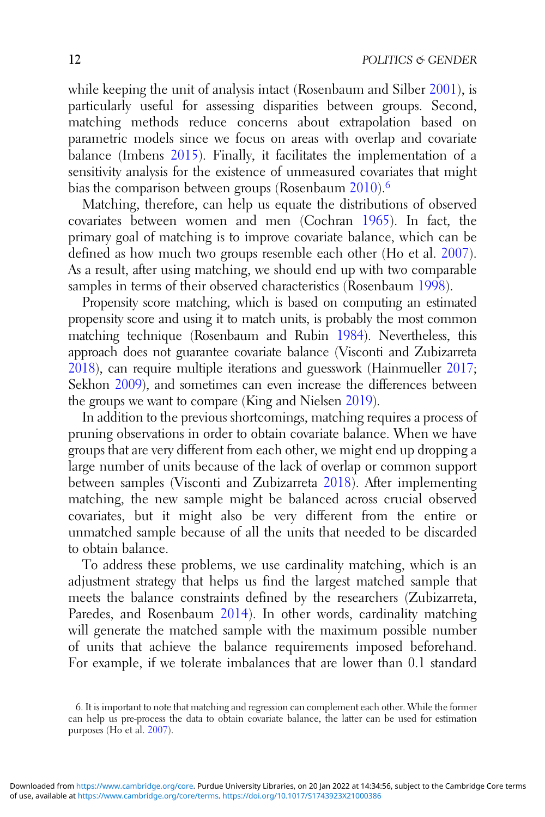while keeping the unit of analysis intact (Rosenbaum and Silber [2001](#page-27-0)), is particularly useful for assessing disparities between groups. Second, matching methods reduce concerns about extrapolation based on parametric models since we focus on areas with overlap and covariate balance (Imbens [2015](#page-25-0)). Finally, it facilitates the implementation of a sensitivity analysis for the existence of unmeasured covariates that might bias the comparison between groups (Rosenbaum [2010](#page-27-0)).<sup>6</sup>

Matching, therefore, can help us equate the distributions of observed covariates between women and men (Cochran [1965\)](#page-24-0). In fact, the primary goal of matching is to improve covariate balance, which can be defined as how much two groups resemble each other (Ho et al. [2007\)](#page-25-0). As a result, after using matching, we should end up with two comparable samples in terms of their observed characteristics (Rosenbaum [1998](#page-27-0)).

Propensity score matching, which is based on computing an estimated propensity score and using it to match units, is probably the most common matching technique (Rosenbaum and Rubin [1984](#page-27-0)). Nevertheless, this approach does not guarantee covariate balance (Visconti and Zubizarreta [2018](#page-28-0)), can require multiple iterations and guesswork (Hainmueller [2017](#page-25-0); Sekhon [2009](#page-27-0)), and sometimes can even increase the differences between the groups we want to compare (King and Nielsen [2019](#page-26-0)).

In addition to the previous shortcomings, matching requires a process of pruning observations in order to obtain covariate balance. When we have groups that are very different from each other, we might end up dropping a large number of units because of the lack of overlap or common support between samples (Visconti and Zubizarreta [2018](#page-28-0)). After implementing matching, the new sample might be balanced across crucial observed covariates, but it might also be very different from the entire or unmatched sample because of all the units that needed to be discarded to obtain balance.

To address these problems, we use cardinality matching, which is an adjustment strategy that helps us find the largest matched sample that meets the balance constraints defined by the researchers (Zubizarreta, Paredes, and Rosenbaum [2014\)](#page-28-0). In other words, cardinality matching will generate the matched sample with the maximum possible number of units that achieve the balance requirements imposed beforehand. For example, if we tolerate imbalances that are lower than 0.1 standard

<sup>6.</sup> It is important to note that matching and regression can complement each other. While the former can help us pre-process the data to obtain covariate balance, the latter can be used for estimation purposes (Ho et al. [2007](#page-25-0)).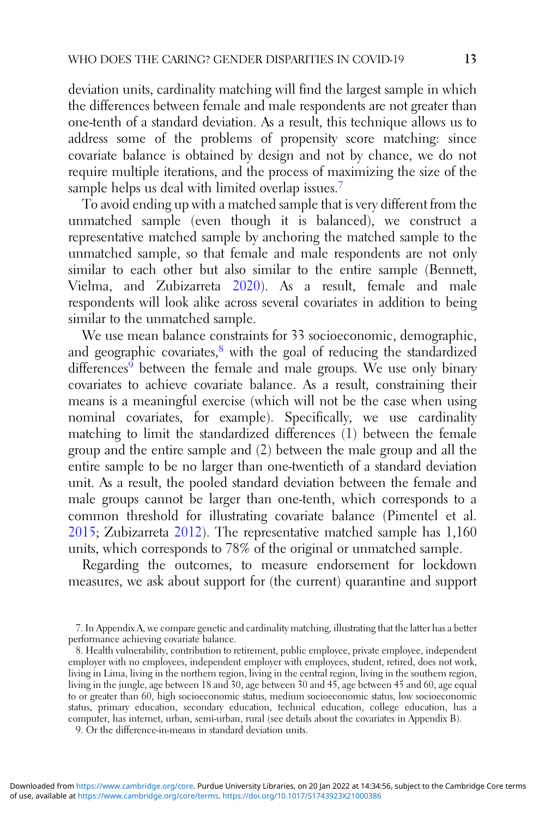deviation units, cardinality matching will find the largest sample in which the differences between female and male respondents are not greater than one-tenth of a standard deviation. As a result, this technique allows us to address some of the problems of propensity score matching: since covariate balance is obtained by design and not by chance, we do not require multiple iterations, and the process of maximizing the size of the sample helps us deal with limited overlap issues.<sup>7</sup>

To avoid ending up with a matched sample that is very different from the unmatched sample (even though it is balanced), we construct a representative matched sample by anchoring the matched sample to the unmatched sample, so that female and male respondents are not only similar to each other but also similar to the entire sample (Bennett, Vielma, and Zubizarreta [2020](#page-23-0)). As a result, female and male respondents will look alike across several covariates in addition to being similar to the unmatched sample.

We use mean balance constraints for 33 socioeconomic, demographic, and geographic covariates, $8$  with the goal of reducing the standardized  $differences<sup>9</sup>$  between the female and male groups. We use only binary covariates to achieve covariate balance. As a result, constraining their means is a meaningful exercise (which will not be the case when using nominal covariates, for example). Specifically, we use cardinality matching to limit the standardized differences (1) between the female group and the entire sample and (2) between the male group and all the entire sample to be no larger than one-twentieth of a standard deviation unit. As a result, the pooled standard deviation between the female and male groups cannot be larger than one-tenth, which corresponds to a common threshold for illustrating covariate balance (Pimentel et al. [2015](#page-26-0); Zubizarreta [2012](#page-28-0)). The representative matched sample has 1,160 units, which corresponds to 78% of the original or unmatched sample.

Regarding the outcomes, to measure endorsement for lockdown measures, we ask about support for (the current) quarantine and support

9. Or the difference-in-means in standard deviation units.

<sup>7.</sup> In Appendix A, we compare genetic and cardinality matching, illustrating that the latter has a better performance achieving covariate balance.

<sup>8.</sup> Health vulnerability, contribution to retirement, public employee, private employee, independent employer with no employees, independent employer with employees, student, retired, does not work, living in Lima, living in the northern region, living in the central region, living in the southern region, living in the jungle, age between 18 and 30, age between 30 and 45, age between 45 and 60, age equal to or greater than 60, high socioeconomic status, medium socioeconomic status, low socioeconomic status, primary education, secondary education, technical education, college education, has a computer, has internet, urban, semi-urban, rural (see details about the covariates in Appendix B).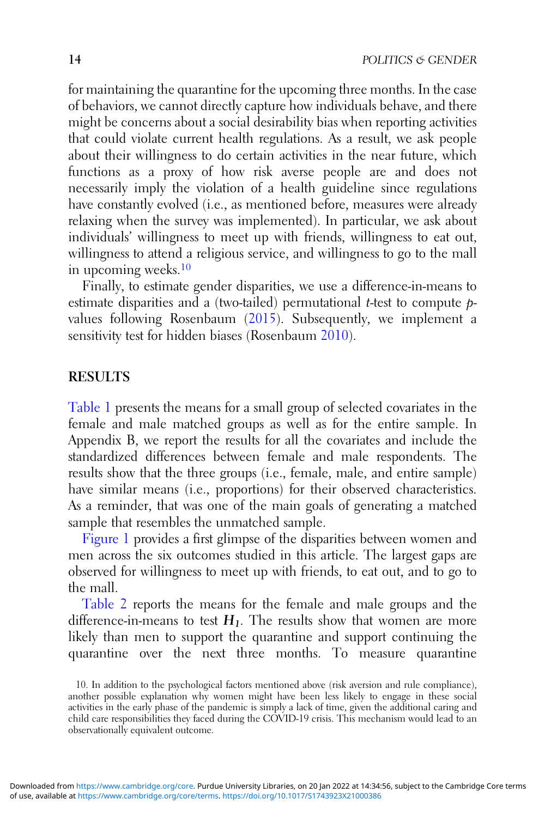for maintaining the quarantine for the upcoming three months. In the case of behaviors, we cannot directly capture how individuals behave, and there might be concerns about a social desirability bias when reporting activities that could violate current health regulations. As a result, we ask people about their willingness to do certain activities in the near future, which functions as a proxy of how risk averse people are and does not necessarily imply the violation of a health guideline since regulations have constantly evolved (i.e., as mentioned before, measures were already relaxing when the survey was implemented). In particular, we ask about individuals' willingness to meet up with friends, willingness to eat out, willingness to attend a religious service, and willingness to go to the mall in upcoming weeks.<sup>10</sup>

Finally, to estimate gender disparities, we use a difference-in-means to estimate disparities and a (two-tailed) permutational *t*-test to compute  $p$ values following Rosenbaum ([2015\)](#page-27-0). Subsequently, we implement a sensitivity test for hidden biases (Rosenbaum [2010](#page-27-0)).

#### RESULTS

[Table 1](#page-14-0) presents the means for a small group of selected covariates in the female and male matched groups as well as for the entire sample. In Appendix B, we report the results for all the covariates and include the standardized differences between female and male respondents. The results show that the three groups (i.e., female, male, and entire sample) have similar means (i.e., proportions) for their observed characteristics. As a reminder, that was one of the main goals of generating a matched sample that resembles the unmatched sample.

[Figure 1](#page-14-0) provides a first glimpse of the disparities between women and men across the six outcomes studied in this article. The largest gaps are observed for willingness to meet up with friends, to eat out, and to go to the mall.

[Table 2](#page-15-0) reports the means for the female and male groups and the difference-in-means to test  $H_1$ . The results show that women are more likely than men to support the quarantine and support continuing the quarantine over the next three months. To measure quarantine

<sup>10.</sup> In addition to the psychological factors mentioned above (risk aversion and rule compliance), another possible explanation why women might have been less likely to engage in these social activities in the early phase of the pandemic is simply a lack of time, given the additional caring and child care responsibilities they faced during the COVID-19 crisis. This mechanism would lead to an observationally equivalent outcome.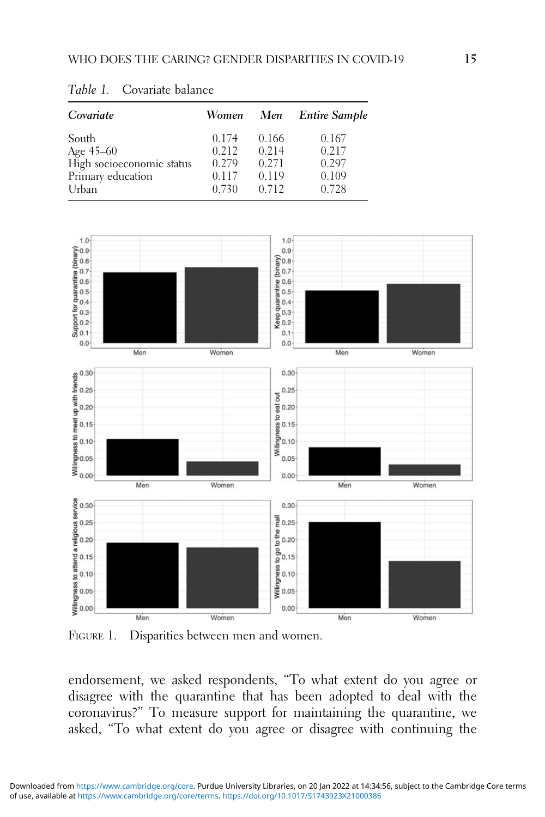| Covariate                                                            | Women                            | Men                              | <b>Entire Sample</b>             |
|----------------------------------------------------------------------|----------------------------------|----------------------------------|----------------------------------|
| South<br>Age 45-60<br>High socioeconomic status<br>Primary education | 0.174<br>0.212<br>0.279<br>0.117 | 0.166<br>0.214<br>0.271<br>0.119 | 0.167<br>0.217<br>0.297<br>0.109 |
| Urban                                                                | 0.730                            | 0.712                            | 0.728                            |

<span id="page-14-0"></span>Table 1. Covariate balance



FIGURE 1. Disparities between men and women.

endorsement, we asked respondents, "To what extent do you agree or disagree with the quarantine that has been adopted to deal with the coronavirus?" To measure support for maintaining the quarantine, we asked, "To what extent do you agree or disagree with continuing the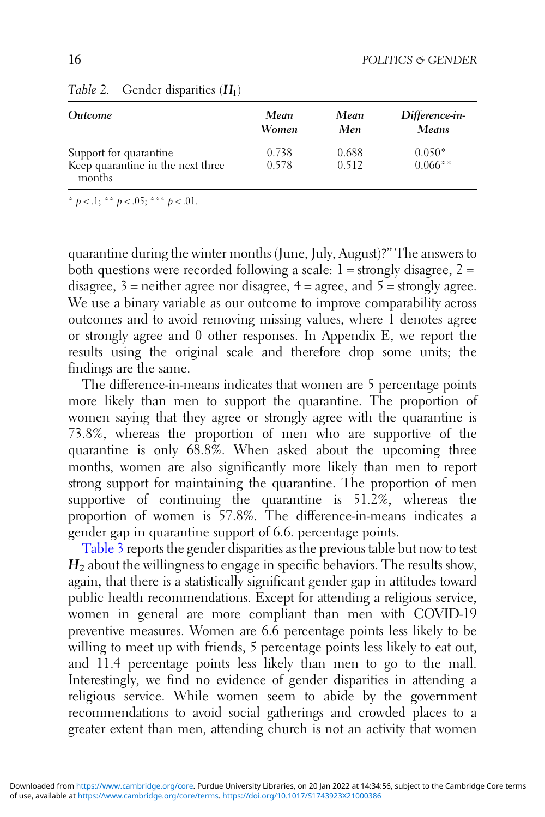| <i><u><b>Outcome</b></u></i>                                          | Mean           | Mean           | Difference-in-         |
|-----------------------------------------------------------------------|----------------|----------------|------------------------|
|                                                                       | Women          | Men            | <b>Means</b>           |
| Support for quarantine<br>Keep quarantine in the next three<br>months | 0.738<br>0.578 | 0.688<br>0.512 | $0.050*$<br>$0.066***$ |

#### <span id="page-15-0"></span>Table 2. Gender disparities  $(H_1)$

\*  $b < 0.1$ ; \*\*  $b < 0.05$ ; \*\*\*  $b < 0.01$ .

quarantine during the winter months (June, July, August)?" The answers to both questions were recorded following a scale:  $1 =$  strongly disagree,  $2 =$ disagree,  $3$  = neither agree nor disagree,  $4$  = agree, and  $5$  = strongly agree. We use a binary variable as our outcome to improve comparability across outcomes and to avoid removing missing values, where 1 denotes agree or strongly agree and 0 other responses. In Appendix E, we report the results using the original scale and therefore drop some units; the findings are the same.

The difference-in-means indicates that women are 5 percentage points more likely than men to support the quarantine. The proportion of women saying that they agree or strongly agree with the quarantine is 73.8%, whereas the proportion of men who are supportive of the quarantine is only 68.8%. When asked about the upcoming three months, women are also significantly more likely than men to report strong support for maintaining the quarantine. The proportion of men supportive of continuing the quarantine is 51.2%, whereas the proportion of women is 57.8%. The difference-in-means indicates a gender gap in quarantine support of 6.6. percentage points.

[Table 3](#page-16-0) reports the gender disparities as the previous table but now to test  $H<sub>2</sub>$  about the willingness to engage in specific behaviors. The results show, again, that there is a statistically significant gender gap in attitudes toward public health recommendations. Except for attending a religious service, women in general are more compliant than men with COVID-19 preventive measures. Women are 6.6 percentage points less likely to be willing to meet up with friends, 5 percentage points less likely to eat out, and 11.4 percentage points less likely than men to go to the mall. Interestingly, we find no evidence of gender disparities in attending a religious service. While women seem to abide by the government recommendations to avoid social gatherings and crowded places to a greater extent than men, attending church is not an activity that women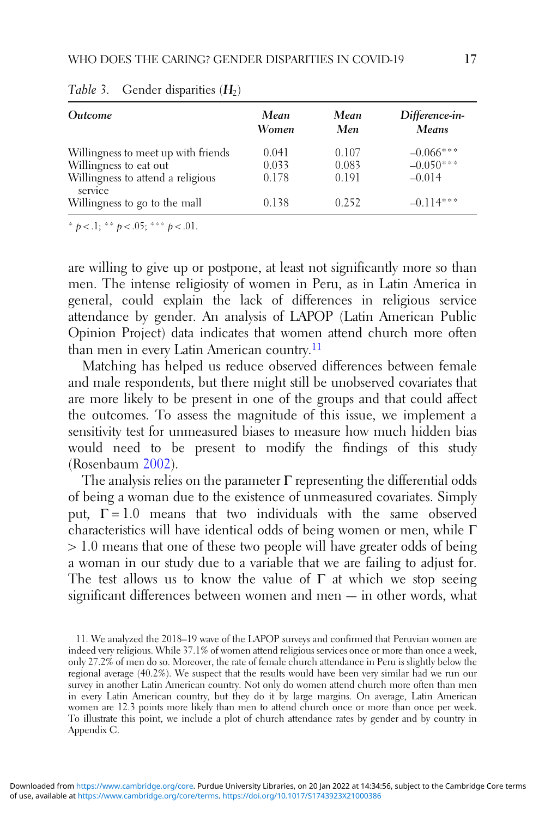| <i><u><b>Outcome</b></u></i>                                                  | Mean<br>Women           | Mean<br>Men             | Difference-in-<br>Means                |
|-------------------------------------------------------------------------------|-------------------------|-------------------------|----------------------------------------|
| Willingness to meet up with friends<br>Willingness to eat out                 | 0.041<br>0.033<br>0.178 | 0.107<br>0.083<br>0.191 | $-0.066***$<br>$-0.050***$<br>$-0.014$ |
| Willingness to attend a religious<br>service<br>Willingness to go to the mall | 0.138                   | 0.252                   | $-0.114***$                            |

<span id="page-16-0"></span>Table 3. Gender disparities  $(H_2)$ 

\*  $p < 0.1$ ; \*\*  $p < 0.05$ ; \*\*\*  $p < 0.01$ .

are willing to give up or postpone, at least not significantly more so than men. The intense religiosity of women in Peru, as in Latin America in general, could explain the lack of differences in religious service attendance by gender. An analysis of LAPOP (Latin American Public Opinion Project) data indicates that women attend church more often than men in every Latin American country.<sup>11</sup>

Matching has helped us reduce observed differences between female and male respondents, but there might still be unobserved covariates that are more likely to be present in one of the groups and that could affect the outcomes. To assess the magnitude of this issue, we implement a sensitivity test for unmeasured biases to measure how much hidden bias would need to be present to modify the findings of this study (Rosenbaum [2002](#page-27-0)).

The analysis relies on the parameter  $\Gamma$  representing the differential odds of being a woman due to the existence of unmeasured covariates. Simply put,  $\Gamma = 1.0$  means that two individuals with the same observed characteristics will have identical odds of being women or men, while Γ > 1.0 means that one of these two people will have greater odds of being a woman in our study due to a variable that we are failing to adjust for. The test allows us to know the value of  $\Gamma$  at which we stop seeing significant differences between women and men — in other words, what

<sup>11.</sup> We analyzed the 2018–19 wave of the LAPOP surveys and confirmed that Peruvian women are indeed very religious. While 37.1% of women attend religious services once or more than once a week, only 27.2% of men do so. Moreover, the rate of female church attendance in Peru is slightly below the regional average (40.2%). We suspect that the results would have been very similar had we run our survey in another Latin American country. Not only do women attend church more often than men in every Latin American country, but they do it by large margins. On average, Latin American women are 12.3 points more likely than men to attend church once or more than once per week. To illustrate this point, we include a plot of church attendance rates by gender and by country in Appendix C.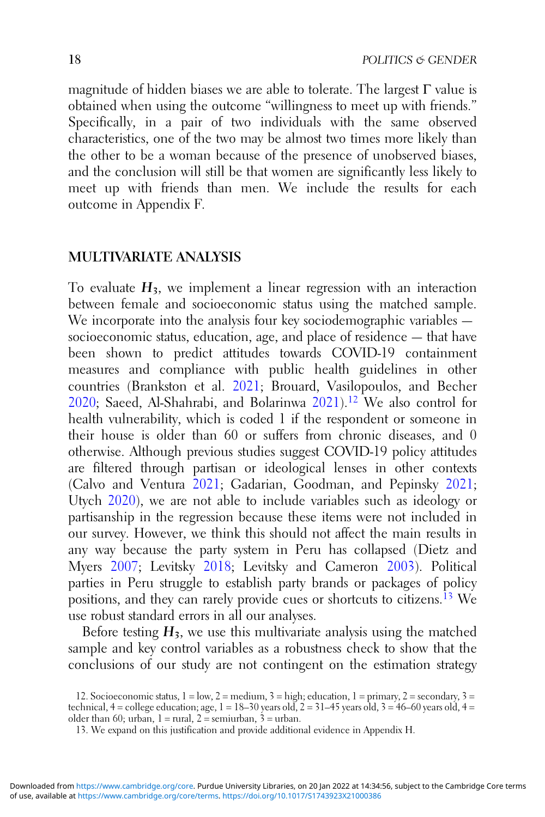magnitude of hidden biases we are able to tolerate. The largest Γ value is obtained when using the outcome "willingness to meet up with friends." Specifically, in a pair of two individuals with the same observed characteristics, one of the two may be almost two times more likely than the other to be a woman because of the presence of unobserved biases, and the conclusion will still be that women are significantly less likely to meet up with friends than men. We include the results for each outcome in Appendix F.

#### MULTIVARIATE ANALYSIS

To evaluate  $H_3$ , we implement a linear regression with an interaction between female and socioeconomic status using the matched sample. We incorporate into the analysis four key sociodemographic variables socioeconomic status, education, age, and place of residence — that have been shown to predict attitudes towards COVID-19 containment measures and compliance with public health guidelines in other countries (Brankston et al. [2021](#page-23-0); Brouard, Vasilopoulos, and Becher [2020](#page-23-0); Saeed, Al-Shahrabi, and Bolarinwa [2021](#page-27-0)).<sup>12</sup> We also control for health vulnerability, which is coded 1 if the respondent or someone in their house is older than 60 or suffers from chronic diseases, and 0 otherwise. Although previous studies suggest COVID-19 policy attitudes are filtered through partisan or ideological lenses in other contexts (Calvo and Ventura [2021;](#page-24-0) Gadarian, Goodman, and Pepinsky [2021](#page-25-0); Utych [2020](#page-27-0)), we are not able to include variables such as ideology or partisanship in the regression because these items were not included in our survey. However, we think this should not affect the main results in any way because the party system in Peru has collapsed (Dietz and Myers [2007;](#page-24-0) Levitsky [2018](#page-26-0); Levitsky and Cameron [2003\)](#page-26-0). Political parties in Peru struggle to establish party brands or packages of policy positions, and they can rarely provide cues or shortcuts to citizens.<sup>13</sup> We use robust standard errors in all our analyses.

Before testing  $H_3$ , we use this multivariate analysis using the matched sample and key control variables as a robustness check to show that the conclusions of our study are not contingent on the estimation strategy

<sup>12.</sup> Socioeconomic status,  $1 = low$ ,  $2 = medium$ ,  $3 = high$ ; education,  $1 = primary$ ,  $2 = secondary$ ,  $3 =$ technical,  $4 =$  college education; age,  $1 = 18-30$  years old,  $2 = 31-45$  years old,  $3 = 46-60$  years old,  $4 =$ older than 60; urban,  $1 = \text{rural}$ ,  $2 = \text{semiurban}$ ,  $3 = \text{urban}$ .

<sup>13.</sup> We expand on this justification and provide additional evidence in Appendix H.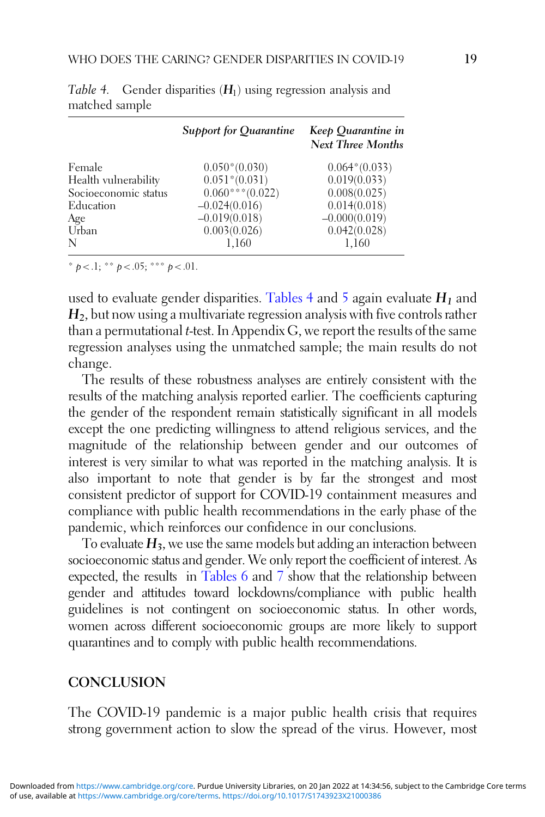|                      | Support for Quarantine | Keep Quarantine in<br><b>Next Three Months</b> |
|----------------------|------------------------|------------------------------------------------|
| Female               | $0.050*(0.030)$        | $0.064*(0.033)$                                |
| Health vulnerability | $0.051*(0.031)$        | 0.019(0.033)                                   |
| Socioeconomic status | $0.060***(0.022)$      | 0.008(0.025)                                   |
| Education            | $-0.024(0.016)$        | 0.014(0.018)                                   |
| Age                  | $-0.019(0.018)$        | $-0.000(0.019)$                                |
| Urban                | 0.003(0.026)           | 0.042(0.028)                                   |
| N                    | 1,160                  | 1,160                                          |

Table 4. Gender disparities  $(H<sub>1</sub>)$  using regression analysis and matched sample

\*  $p < 0.1$ ; \*\*  $p < 0.05$ ; \*\*\*  $p < 0.01$ .

used to evaluate gender disparities. Tables 4 and [5](#page-19-0) again evaluate  $H_1$  and  $H<sub>2</sub>$ , but now using a multivariate regression analysis with five controls rather than a permutational  $t$ -test. In Appendix  $G$ , we report the results of the same regression analyses using the unmatched sample; the main results do not change.

The results of these robustness analyses are entirely consistent with the results of the matching analysis reported earlier. The coefficients capturing the gender of the respondent remain statistically significant in all models except the one predicting willingness to attend religious services, and the magnitude of the relationship between gender and our outcomes of interest is very similar to what was reported in the matching analysis. It is also important to note that gender is by far the strongest and most consistent predictor of support for COVID-19 containment measures and compliance with public health recommendations in the early phase of the pandemic, which reinforces our confidence in our conclusions.

To evaluate  $H_3$ , we use the same models but adding an interaction between socioeconomic status and gender. We only report the coefficient of interest. As expected, the results in [Tables 6](#page-20-0) and [7](#page-20-0) show that the relationship between gender and attitudes toward lockdowns/compliance with public health guidelines is not contingent on socioeconomic status. In other words, women across different socioeconomic groups are more likely to support quarantines and to comply with public health recommendations.

## **CONCLUSION**

The COVID-19 pandemic is a major public health crisis that requires strong government action to slow the spread of the virus. However, most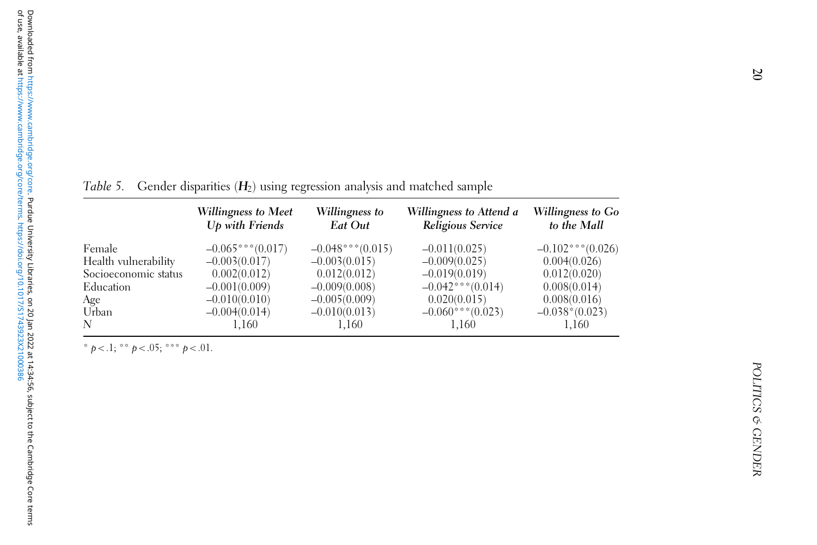<span id="page-19-0"></span>Table 5. Gender disparities ( $\bm{H}_2$ ) using regression analysis and matched sample

|                      | Willingness to Meet<br>$Up$ with Friends | Willingness to<br>Eat Out | Willingness to Attend a<br>Religious Service | Willingness to Go<br>to the Mall |
|----------------------|------------------------------------------|---------------------------|----------------------------------------------|----------------------------------|
| Female               | $-0.065***(0.017)$                       | $-0.048***(0.015)$        | $-0.011(0.025)$                              | $-0.102$ *** $(0.026)$           |
| Health vulnerability | $-0.003(0.017)$                          | $-0.003(0.015)$           | $-0.009(0.025)$                              | 0.004(0.026)                     |
| Socioeconomic status | 0.002(0.012)                             | 0.012(0.012)              | $-0.019(0.019)$                              | 0.012(0.020)                     |
| Education            | $-0.001(0.009)$                          | $-0.009(0.008)$           | $-0.042***(0.014)$                           | 0.008(0.014)                     |
| Age                  | $-0.010(0.010)$                          | $-0.005(0.009)$           | 0.020(0.015)                                 | 0.008(0.016)                     |
| Urban                | $-0.004(0.014)$                          | $-0.010(0.013)$           | $-0.060***(0.023)$                           | $-0.038*(0.023)$                 |
| N                    | 1,160                                    | 1,160                     | 1.160                                        | 1,160                            |

\*  $p < 0.1$ ; \*\*  $p < 0.05$ ; \*\*\*  $p < 0.01$ .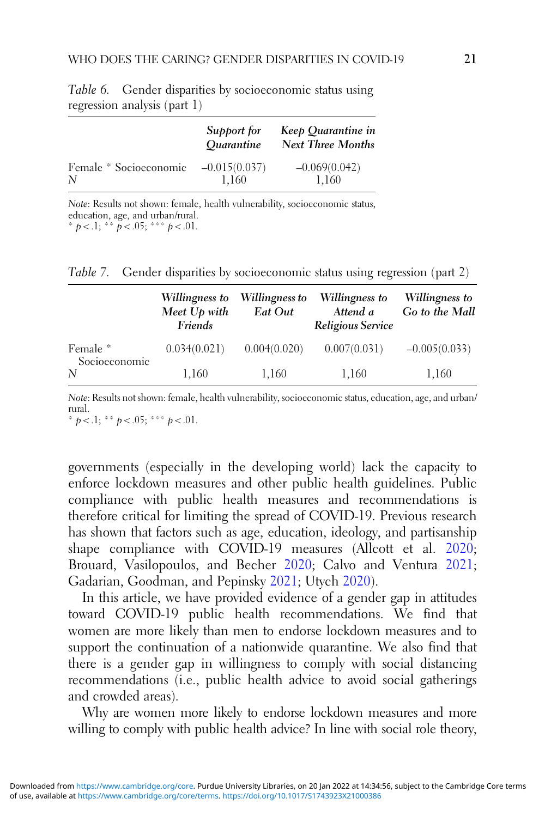|                        | Support for<br><i><u><b>Ouarantine</b></u></i> | Keep Quarantine in<br><b>Next Three Months</b> |
|------------------------|------------------------------------------------|------------------------------------------------|
| Female * Socioeconomic | $-0.015(0.037)$                                | $-0.069(0.042)$                                |
| N                      | 1.160                                          | 1,160                                          |

<span id="page-20-0"></span>Table 6. Gender disparities by socioeconomic status using regression analysis (part 1)

Note: Results not shown: female, health vulnerability, socioeconomic status, education, age, and urban/rural. \*  $p < 0.1$ ; \*\*  $p < 0.05$ ; \*\*\*  $p < 0.01$ .

Table 7. Gender disparities by socioeconomic status using regression (part 2)

|                    | Willingness to<br>Meet Up with<br>Friends | Willingness to<br>Eat Out | Willingness to<br>Attend a<br>Religious Service | Willingness to<br>Go to the Mall |
|--------------------|-------------------------------------------|---------------------------|-------------------------------------------------|----------------------------------|
| Female *           | 0.034(0.021)                              | 0.004(0.020)              | 0.007(0.031)                                    | $-0.005(0.033)$                  |
| Socioeconomic<br>N | 1.160                                     | 1,160                     | 1,160                                           | 1,160                            |

Note: Results not shown: female, health vulnerability, socioeconomic status, education, age, and urban/ rural.

\*  $p < 1$ ; \*\*  $p < .05$ ; \*\*\*  $p < .01$ .

governments (especially in the developing world) lack the capacity to enforce lockdown measures and other public health guidelines. Public compliance with public health measures and recommendations is therefore critical for limiting the spread of COVID-19. Previous research has shown that factors such as age, education, ideology, and partisanship shape compliance with COVID-19 measures (Allcott et al. [2020](#page-23-0); Brouard, Vasilopoulos, and Becher [2020](#page-23-0); Calvo and Ventura [2021](#page-24-0); Gadarian, Goodman, and Pepinsky [2021;](#page-25-0) Utych [2020\)](#page-27-0).

In this article, we have provided evidence of a gender gap in attitudes toward COVID-19 public health recommendations. We find that women are more likely than men to endorse lockdown measures and to support the continuation of a nationwide quarantine. We also find that there is a gender gap in willingness to comply with social distancing recommendations (i.e., public health advice to avoid social gatherings and crowded areas).

Why are women more likely to endorse lockdown measures and more willing to comply with public health advice? In line with social role theory,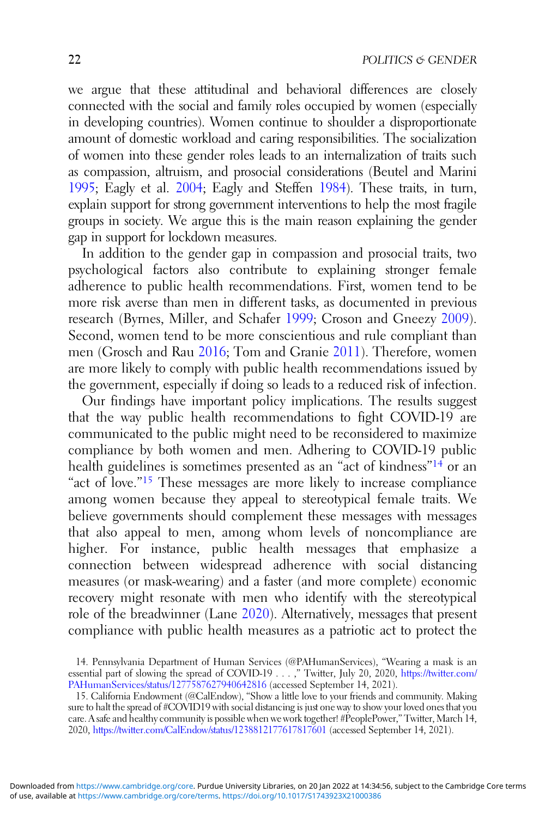we argue that these attitudinal and behavioral differences are closely connected with the social and family roles occupied by women (especially in developing countries). Women continue to shoulder a disproportionate amount of domestic workload and caring responsibilities. The socialization of women into these gender roles leads to an internalization of traits such as compassion, altruism, and prosocial considerations (Beutel and Marini [1995](#page-23-0); Eagly et al. [2004;](#page-24-0) Eagly and Steffen [1984](#page-24-0)). These traits, in turn, explain support for strong government interventions to help the most fragile groups in society. We argue this is the main reason explaining the gender gap in support for lockdown measures.

In addition to the gender gap in compassion and prosocial traits, two psychological factors also contribute to explaining stronger female adherence to public health recommendations. First, women tend to be more risk averse than men in different tasks, as documented in previous research (Byrnes, Miller, and Schafer [1999](#page-23-0); Croson and Gneezy [2009\)](#page-24-0). Second, women tend to be more conscientious and rule compliant than men (Grosch and Rau [2016](#page-25-0); Tom and Granie [2011\)](#page-27-0). Therefore, women are more likely to comply with public health recommendations issued by the government, especially if doing so leads to a reduced risk of infection.

Our findings have important policy implications. The results suggest that the way public health recommendations to fight COVID-19 are communicated to the public might need to be reconsidered to maximize compliance by both women and men. Adhering to COVID-19 public health guidelines is sometimes presented as an "act of kindness"<sup>14</sup> or an "act of love."<sup>15</sup> These messages are more likely to increase compliance among women because they appeal to stereotypical female traits. We believe governments should complement these messages with messages that also appeal to men, among whom levels of noncompliance are higher. For instance, public health messages that emphasize a connection between widespread adherence with social distancing measures (or mask-wearing) and a faster (and more complete) economic recovery might resonate with men who identify with the stereotypical role of the breadwinner (Lane [2020\)](#page-26-0). Alternatively, messages that present compliance with public health measures as a patriotic act to protect the

<sup>14.</sup> Pennsylvania Department of Human Services (@PAHumanServices), "Wearing a mask is an essential part of slowing the spread of COVID-19 . . . ," Twitter, July 20, 2020, [https://twitter.com/](https://twitter.com/PAHumanServices/status/1277587627940642816) [PAHumanServices/status/1277587627940642816](https://twitter.com/PAHumanServices/status/1277587627940642816) (accessed September 14, 2021).

<sup>15.</sup> California Endowment (@CalEndow), "Show a little love to your friends and community. Making sure to halt the spread of #COVID19 with social distancing is just one way to show your loved ones that you care. A safe and healthy community is possible when we work together! #PeoplePower," Twitter, March 14, 2020, <https://twitter.com/CalEndow/status/1238812177617817601> (accessed September 14, 2021).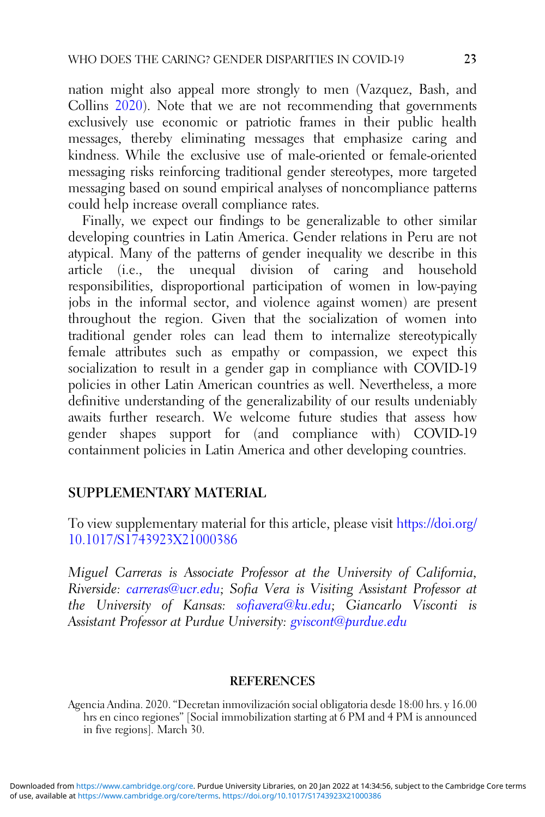<span id="page-22-0"></span>nation might also appeal more strongly to men (Vazquez, Bash, and Collins [2020](#page-28-0)). Note that we are not recommending that governments exclusively use economic or patriotic frames in their public health messages, thereby eliminating messages that emphasize caring and kindness. While the exclusive use of male-oriented or female-oriented messaging risks reinforcing traditional gender stereotypes, more targeted messaging based on sound empirical analyses of noncompliance patterns could help increase overall compliance rates.

Finally, we expect our findings to be generalizable to other similar developing countries in Latin America. Gender relations in Peru are not atypical. Many of the patterns of gender inequality we describe in this article (i.e., the unequal division of caring and household responsibilities, disproportional participation of women in low-paying jobs in the informal sector, and violence against women) are present throughout the region. Given that the socialization of women into traditional gender roles can lead them to internalize stereotypically female attributes such as empathy or compassion, we expect this socialization to result in a gender gap in compliance with COVID-19 policies in other Latin American countries as well. Nevertheless, a more definitive understanding of the generalizability of our results undeniably awaits further research. We welcome future studies that assess how gender shapes support for (and compliance with) COVID-19 containment policies in Latin America and other developing countries.

## SUPPLEMENTARY MATERIAL

To view supplementary material for this article, please visit [https://doi.org/](https://doi.org/10.1017/S1743923X21000386) [10.1017/S1743923X21000386](https://doi.org/10.1017/S1743923X21000386)

Miguel Carreras is Associate Professor at the University of California, Riverside: [carreras@ucr.edu;](mailto:carreras@ucr.edu) Sofia Vera is Visiting Assistant Professor at the University of Kansas: [sofiavera@ku.edu;](mailto:sofiavera@ku.edu) Giancarlo Visconti is Assistant Professor at Purdue University: [gviscont@purdue.edu](mailto:gviscont@purdue.edu)

#### **REFERENCES**

Agencia Andina. 2020. "Decretan inmovilización social obligatoria desde 18:00 hrs. y 16.00 hrs en cinco regiones" [Social immobilization starting at 6 PM and 4 PM is announced in five regions]. March 30.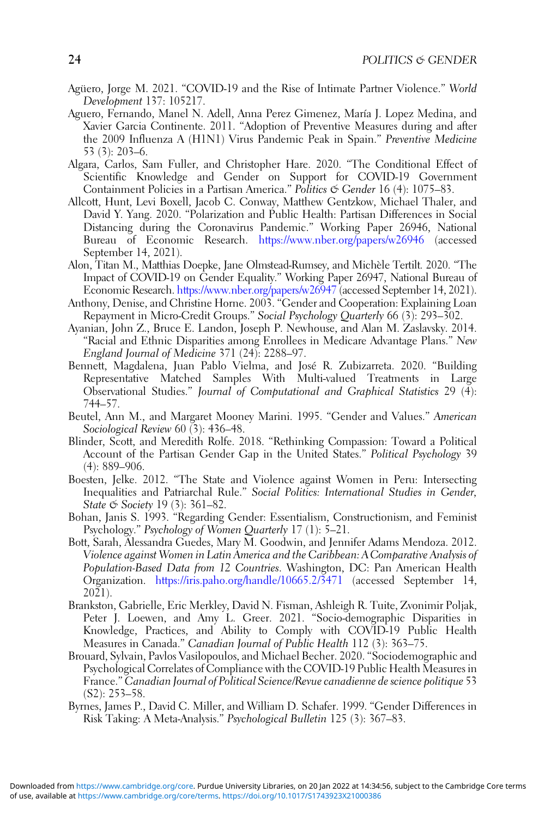- <span id="page-23-0"></span>Agüero, Jorge M. 2021. "COVID-19 and the Rise of Intimate Partner Violence." World Development 137: 105217.
- Aguero, Fernando, Manel N. Adell, Anna Perez Gimenez, María J. Lopez Medina, and Xavier Garcia Continente. 2011. "Adoption of Preventive Measures during and after the 2009 Influenza A (H1N1) Virus Pandemic Peak in Spain." Preventive Medicine 53 (3): 203–6.
- Algara, Carlos, Sam Fuller, and Christopher Hare. 2020. "The Conditional Effect of Scientific Knowledge and Gender on Support for COVID-19 Government Containment Policies in a Partisan America." Politics  $\mathfrak{G}$  Gender 16 (4): 1075–83.
- Allcott, Hunt, Levi Boxell, Jacob C. Conway, Matthew Gentzkow, Michael Thaler, and David Y. Yang. 2020. "Polarization and Public Health: Partisan Differences in Social Distancing during the Coronavirus Pandemic." Working Paper 26946, National Bureau of Economic Research. <https://www.nber.org/papers/w26946> (accessed September 14, 2021).
- Alon, Titan M., Matthias Doepke, Jane Olmstead-Rumsey, and Michèle Tertilt. 2020. "The Impact of COVID-19 on Gender Equality." Working Paper 26947, National Bureau of Economic Research. <https://www.nber.org/papers/w26947> (accessed September 14, 2021).
- Anthony, Denise, and Christine Horne. 2003. "Gender and Cooperation: Explaining Loan Repayment in Micro-Credit Groups." Social Psychology Quarterly 66 (3): 293–302.
- Ayanian, John Z., Bruce E. Landon, Joseph P. Newhouse, and Alan M. Zaslavsky. 2014. "Racial and Ethnic Disparities among Enrollees in Medicare Advantage Plans." New England Journal of Medicine 371 (24): 2288–97.
- Bennett, Magdalena, Juan Pablo Vielma, and José R. Zubizarreta. 2020. "Building Representative Matched Samples With Multi-valued Treatments in Large Observational Studies." Journal of Computational and Graphical Statistics 29  $(\tilde{4})$ : 744–57.
- Beutel, Ann M., and Margaret Mooney Marini. 1995. "Gender and Values." American Sociological Review 60 (3): 436–48.
- Blinder, Scott, and Meredith Rolfe. 2018. "Rethinking Compassion: Toward a Political Account of the Partisan Gender Gap in the United States." Political Psychology 39 (4): 889–906.
- Boesten, Jelke. 2012. "The State and Violence against Women in Peru: Intersecting Inequalities and Patriarchal Rule." Social Politics: International Studies in Gender, State & Society 19 (3): 361–82.
- Bohan, Janis S. 1993. "Regarding Gender: Essentialism, Constructionism, and Feminist Psychology." Psychology of Women Quarterly 17 (1): 5–21.
- Bott, Sarah, Alessandra Guedes, Mary M. Goodwin, and Jennifer Adams Mendoza. 2012. Violence against Women in Latin America and the Caribbean: A Comparative Analysis of Population-Based Data from 12 Countries. Washington, DC: Pan American Health Organization. <https://iris.paho.org/handle/10665.2/3471> (accessed September 14, 2021).
- Brankston, Gabrielle, Eric Merkley, David N. Fisman, Ashleigh R. Tuite, Zvonimir Poljak, Peter J. Loewen, and Amy L. Greer. 2021. "Socio-demographic Disparities in Knowledge, Practices, and Ability to Comply with COVID-19 Public Health Measures in Canada." Canadian Journal of Public Health 112 (3): 363–75.
- Brouard, Sylvain, Pavlos Vasilopoulos, and Michael Becher. 2020. "Sociodemographic and Psychological Correlates of Compliance with the COVID-19 Public Health Measures in France." Canadian Journal of Political Science/Revue canadienne de science politique 53 (S2): 253–58.
- Byrnes, James P., David C. Miller, and William D. Schafer. 1999. "Gender Differences in Risk Taking: A Meta-Analysis." Psychological Bulletin 125 (3): 367–83.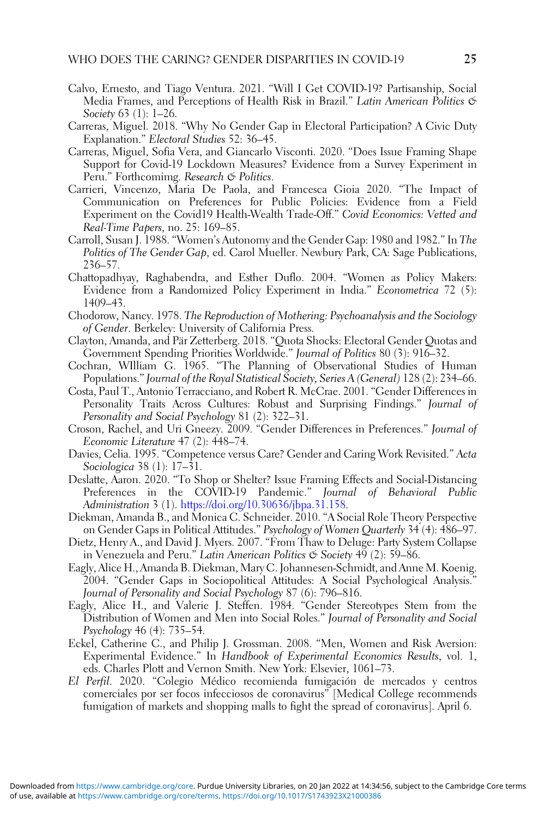- <span id="page-24-0"></span>Calvo, Ernesto, and Tiago Ventura. 2021. "Will I Get COVID-19? Partisanship, Social Media Frames, and Perceptions of Health Risk in Brazil." Latin American Politics & Society 63 (1): 1-26.
- Carreras, Miguel. 2018. "Why No Gender Gap in Electoral Participation? A Civic Duty Explanation." Electoral Studies 52: 36–45.
- Carreras, Miguel, Sofia Vera, and Giancarlo Visconti. 2020. "Does Issue Framing Shape Support for Covid-19 Lockdown Measures? Evidence from a Survey Experiment in Peru." Forthcomimg. Research & Politics.
- Carrieri, Vincenzo, Maria De Paola, and Francesca Gioia 2020. "The Impact of Communication on Preferences for Public Policies: Evidence from a Field Experiment on the Covid19 Health-Wealth Trade-Off." Covid Economics: Vetted and Real-Time Papers, no. 25: 169–85.
- Carroll, Susan J. 1988. "Women's Autonomy and the Gender Gap: 1980 and 1982." In The Politics of The Gender Gap, ed. Carol Mueller. Newbury Park, CA: Sage Publications, 236–57.
- Chattopadhyay, Raghabendra, and Esther Duflo. 2004. "Women as Policy Makers: Evidence from a Randomized Policy Experiment in India." Econometrica 72 (5): 1409–43.
- Chodorow, Nancy. 1978. The Reproduction of Mothering: Psychoanalysis and the Sociology of Gender. Berkeley: University of California Press.
- Clayton, Amanda, and Pär Zetterberg. 2018. "Quota Shocks: Electoral Gender Quotas and Government Spending Priorities Worldwide." Journal of Politics 80 (3): 916–32.
- Cochran, WIlliam G. 1965. "The Planning of Observational Studies of Human Populations." Journal of the Royal Statistical Society, Series A (General) 128 (2): 234–66.
- Costa, Paul T., Antonio Terracciano, and Robert R. McCrae. 2001. "Gender Differences in Personality Traits Across Cultures: Robust and Surprising Findings." Journal of Personality and Social Psychology 81 (2): 322–31.
- Croson, Rachel, and Uri Gneezy. 2009. "Gender Differences in Preferences." Journal of Economic Literature 47 (2): 448–74.
- Davies, Celia. 1995. "Competence versus Care? Gender and Caring Work Revisited." Acta Sociologica 38 (1): 17–31.
- Deslatte, Aaron. 2020. "To Shop or Shelter? Issue Framing Effects and Social-Distancing Preferences in the COVID-19 Pandemic." Journal of Behavioral Public Administration 3 (1). [https://doi.org/10.30636/jbpa.31.158.](https://doi.org/10.30636/jbpa.31.158)
- Diekman, Amanda B., and Monica C. Schneider. 2010. "A Social Role Theory Perspective on Gender Gaps in Political Attitudes." Psychology of Women Quarterly 34 (4): 486–97.
- Dietz, Henry A., and David J. Myers. 2007. "From Thaw to Deluge: Party System Collapse in Venezuela and Peru." Latin American Politics & Society 49 (2): 59-86.
- Eagly, Alice H., Amanda B. Diekman, Mary C. Johannesen-Schmidt, and Anne M. Koenig. 2004. "Gender Gaps in Sociopolitical Attitudes: A Social Psychological Analysis." Journal of Personality and Social Psychology 87 (6): 796–816.
- Eagly, Alice H., and Valerie J. Steffen. 1984. "Gender Stereotypes Stem from the Distribution of Women and Men into Social Roles." Journal of Personality and Social Psychology 46 (4): 735–54.
- Eckel, Catherine C., and Philip J. Grossman. 2008. "Men, Women and Risk Aversion: Experimental Evidence." In Handbook of Experimental Economics Results, vol. 1, eds. Charles Plott and Vernon Smith. New York: Elsevier, 1061–73.
- El Perfil. 2020. "Colegio Médico recomienda fumigación de mercados y centros comerciales por ser focos infecciosos de coronavirus" [Medical College recommends fumigation of markets and shopping malls to fight the spread of coronavirus]. April 6.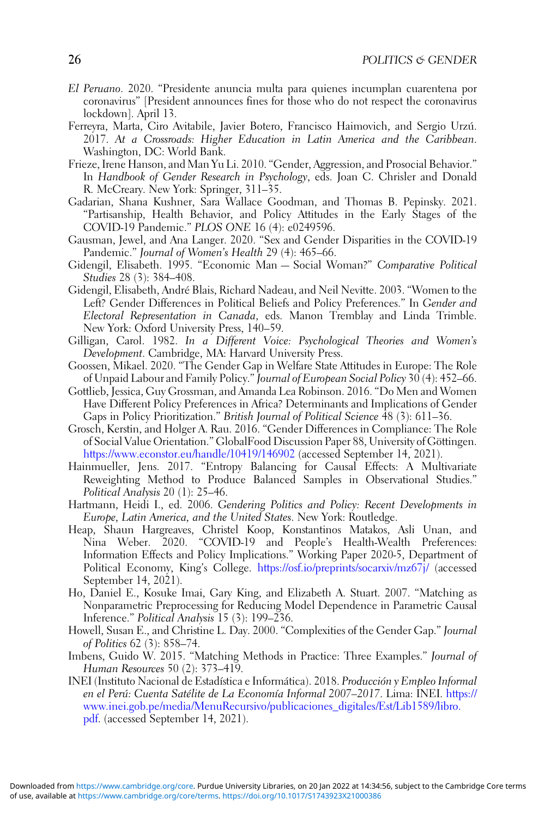- <span id="page-25-0"></span>El Peruano. 2020. "Presidente anuncia multa para quienes incumplan cuarentena por coronavirus" [President announces fines for those who do not respect the coronavirus lockdown]. April 13.
- Ferreyra, Marta, Ciro Avitabile, Javier Botero, Francisco Haimovich, and Sergio Urzú. 2017. At a Crossroads: Higher Education in Latin America and the Caribbean. Washington, DC: World Bank.
- Frieze, Irene Hanson, and Man Yu Li. 2010. "Gender, Aggression, and Prosocial Behavior." In Handbook of Gender Research in Psychology, eds. Joan C. Chrisler and Donald R. McCreary. New York: Springer, 311–35.
- Gadarian, Shana Kushner, Sara Wallace Goodman, and Thomas B. Pepinsky. 2021. "Partisanship, Health Behavior, and Policy Attitudes in the Early Stages of the COVID-19 Pandemic." PLOS ONE 16 (4): e0249596.
- Gausman, Jewel, and Ana Langer. 2020. "Sex and Gender Disparities in the COVID-19 Pandemic." Journal of Women's Health 29 (4): 465–66.
- Gidengil, Elisabeth. 1995. "Economic Man Social Woman?" Comparative Political Studies 28 (3): 384–408.
- Gidengil, Elisabeth, André Blais, Richard Nadeau, and Neil Nevitte. 2003. "Women to the Left? Gender Differences in Political Beliefs and Policy Preferences." In Gender and Electoral Representation in Canada, eds. Manon Tremblay and Linda Trimble. New York: Oxford University Press, 140–59.
- Gilligan, Carol. 1982. In a Different Voice: Psychological Theories and Women's Development. Cambridge, MA: Harvard University Press.
- Goossen, Mikael. 2020. "The Gender Gap in Welfare State Attitudes in Europe: The Role of Unpaid Labour and Family Policy." Journal of European Social Policy 30 (4): 452–66.
- Gottlieb, Jessica, Guy Grossman, and Amanda Lea Robinson. 2016. "Do Men and Women Have Different Policy Preferences in Africa? Determinants and Implications of Gender Gaps in Policy Prioritization." British Journal of Political Science 48 (3): 611–36.
- Grosch, Kerstin, and Holger A. Rau. 2016. "Gender Differences in Compliance: The Role of Social Value Orientation." GlobalFood Discussion Paper 88, University of Göttingen. <https://www.econstor.eu/handle/10419/146902> (accessed September 14, 2021).
- Hainmueller, Jens. 2017. "Entropy Balancing for Causal Effects: A Multivariate Reweighting Method to Produce Balanced Samples in Observational Studies." Political Analysis 20 (1): 25–46.
- Hartmann, Heidi I., ed. 2006. Gendering Politics and Policy: Recent Developments in Europe, Latin America, and the United States. New York: Routledge.
- Heap, Shaun Hargreaves, Christel Koop, Konstantinos Matakos, Asli Unan, and Nina Weber. 2020. "COVID-19 and People's Health-Wealth Preferences: Information Effects and Policy Implications." Working Paper 2020-5, Department of Political Economy, King's College. <https://osf.io/preprints/socarxiv/mz67j/> (accessed September 14, 2021).
- Ho, Daniel E., Kosuke Imai, Gary King, and Elizabeth A. Stuart. 2007. "Matching as Nonparametric Preprocessing for Reducing Model Dependence in Parametric Causal Inference." Political Analysis 15 (3): 199–236.
- Howell, Susan E., and Christine L. Day. 2000. "Complexities of the Gender Gap." Journal of Politics 62 (3): 858–74.
- Imbens, Guido W. 2015. "Matching Methods in Practice: Three Examples." Journal of Human Resources 50 (2): 373–419.
- INEI (Instituto Nacional de Estadística e Informática). 2018. Producción y Empleo Informal en el Perú: Cuenta Satélite de La Economía Informal 2007–2017. Lima: INEI. [https://](https://www.inei.gob.pe/media/MenuRecursivo/publicaciones_digitales/Est/Lib1589/libro.pdf) [www.inei.gob.pe/media/MenuRecursivo/publicaciones\\_digitales/Est/Lib1589/libro.](https://www.inei.gob.pe/media/MenuRecursivo/publicaciones_digitales/Est/Lib1589/libro.pdf) [pdf.](https://www.inei.gob.pe/media/MenuRecursivo/publicaciones_digitales/Est/Lib1589/libro.pdf) (accessed September 14, 2021).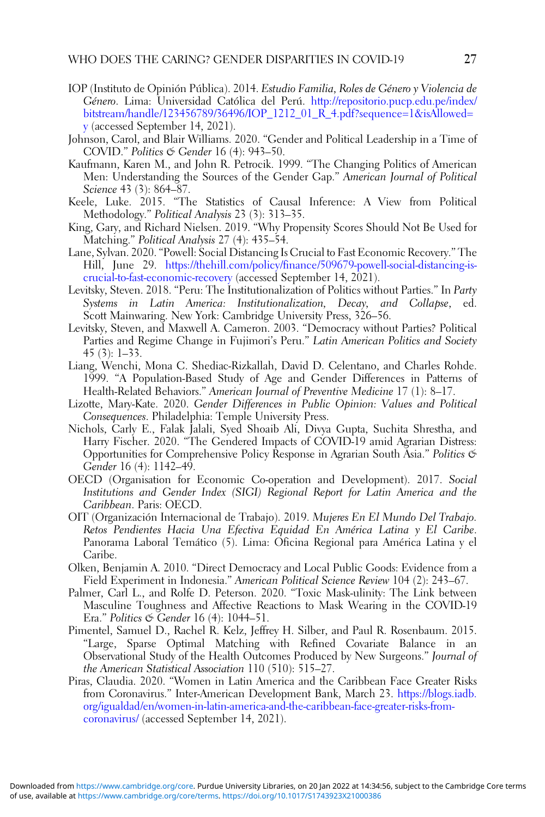- <span id="page-26-0"></span>IOP (Instituto de Opinión Pública). 2014. Estudio Familia, Roles de Género y Violencia de Género. Lima: Universidad Católica del Perú. [http://repositorio.pucp.edu.pe/index/](http://repositorio.pucp.edu.pe/index/bitstream/handle/123456789/36496/IOP_1212_01_R_4.pdf?sequence=1&isAllowed=y) [bitstream/handle/123456789/36496/IOP\\_1212\\_01\\_R\\_4.pdf?sequence=1&isAllowed=](http://repositorio.pucp.edu.pe/index/bitstream/handle/123456789/36496/IOP_1212_01_R_4.pdf?sequence=1&isAllowed=y) [y](http://repositorio.pucp.edu.pe/index/bitstream/handle/123456789/36496/IOP_1212_01_R_4.pdf?sequence=1&isAllowed=y) (accessed September 14, 2021).
- Johnson, Carol, and Blair Williams. 2020. "Gender and Political Leadership in a Time of COVID." Politics & Gender 16 (4): 943–50.
- Kaufmann, Karen M., and John R. Petrocik. 1999. "The Changing Politics of American Men: Understanding the Sources of the Gender Gap." American Journal of Political Science 43 (3): 864–87.
- Keele, Luke. 2015. "The Statistics of Causal Inference: A View from Political Methodology." Political Analysis 23 (3): 313–35.
- King, Gary, and Richard Nielsen. 2019. "Why Propensity Scores Should Not Be Used for Matching." *Political Analysis* 27 (4): 435–54.
- Lane, Sylvan. 2020. "Powell: Social Distancing Is Crucial to Fast Economic Recovery." The Hill, June 29. [https://thehill.com/policy/finance/509679-powell-social-distancing-is](https://thehill.com/policy/finance/509679-powell-social-distancing-is-crucial-to-fast-economic-recovery)[crucial-to-fast-economic-recovery](https://thehill.com/policy/finance/509679-powell-social-distancing-is-crucial-to-fast-economic-recovery) (accessed September 14, 2021).
- Levitsky, Steven. 2018. "Peru: The Institutionalization of Politics without Parties." In Party Systems in Latin America: Institutionalization, Decay, and Collapse, ed. Scott Mainwaring. New York: Cambridge University Press, 326–56.
- Levitsky, Steven, and Maxwell A. Cameron. 2003. "Democracy without Parties? Political Parties and Regime Change in Fujimori's Peru." Latin American Politics and Society 45 (3): 1–33.
- Liang, Wenchi, Mona C. Shediac-Rizkallah, David D. Celentano, and Charles Rohde. 1999. "A Population-Based Study of Age and Gender Differences in Patterns of Health-Related Behaviors." American Journal of Preventive Medicine 17 (1): 8–17.
- Lizotte, Mary-Kate. 2020. Gender Differences in Public Opinion: Values and Political Consequences. Philadelphia: Temple University Press.
- Nichols, Carly E., Falak Jalali, Syed Shoaib Ali, Divya Gupta, Suchita Shrestha, and Harry Fischer. 2020. "The Gendered Impacts of COVID-19 amid Agrarian Distress: Opportunities for Comprehensive Policy Response in Agrarian South Asia." Politics & Gender 16 (4): 1142–49.
- OECD (Organisation for Economic Co-operation and Development). 2017. Social Institutions and Gender Index (SIGI) Regional Report for Latin America and the Caribbean. Paris: OECD.
- OIT (Organización Internacional de Trabajo). 2019. Mujeres En El Mundo Del Trabajo. Retos Pendientes Hacia Una Efectiva Equidad En América Latina y El Caribe. Panorama Laboral Temático (5). Lima: Oficina Regional para América Latina y el Caribe.
- Olken, Benjamin A. 2010. "Direct Democracy and Local Public Goods: Evidence from a Field Experiment in Indonesia." American Political Science Review 104 (2): 243–67.
- Palmer, Carl L., and Rolfe D. Peterson. 2020. "Toxic Mask-ulinity: The Link between Masculine Toughness and Affective Reactions to Mask Wearing in the COVID-19 Era." Politics & Gender 16 (4): 1044–51.
- Pimentel, Samuel D., Rachel R. Kelz, Jeffrey H. Silber, and Paul R. Rosenbaum. 2015. "Large, Sparse Optimal Matching with Refined Covariate Balance in an Observational Study of the Health Outcomes Produced by New Surgeons." Journal of the American Statistical Association 110 (510): 515–27.
- Piras, Claudia. 2020. "Women in Latin America and the Caribbean Face Greater Risks from Coronavirus." Inter-American Development Bank, March 23. [https://blogs.iadb.](https://blogs.iadb.org/igualdad/en/women-in-latin-america-and-the-caribbean-face-greater-risks-from-coronavirus/) [org/igualdad/en/women-in-latin-america-and-the-caribbean-face-greater-risks-from](https://blogs.iadb.org/igualdad/en/women-in-latin-america-and-the-caribbean-face-greater-risks-from-coronavirus/)[coronavirus/](https://blogs.iadb.org/igualdad/en/women-in-latin-america-and-the-caribbean-face-greater-risks-from-coronavirus/) (accessed September 14, 2021).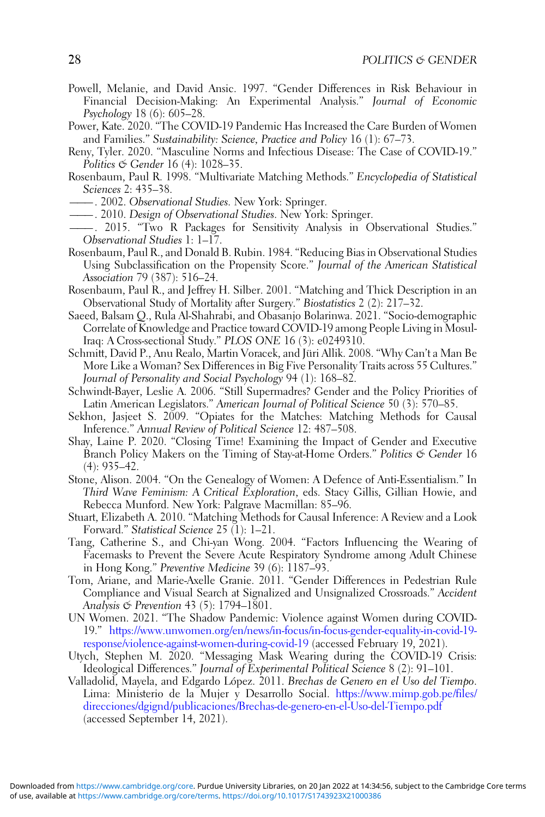- <span id="page-27-0"></span>Powell, Melanie, and David Ansic. 1997. "Gender Differences in Risk Behaviour in Financial Decision-Making: An Experimental Analysis." Journal of Economic Psychology 18 (6): 605–28.
- Power, Kate. 2020. "The COVID-19 Pandemic Has Increased the Care Burden of Women and Families." Sustainability: Science, Practice and Policy 16 (1): 67–73.
- Reny, Tyler. 2020. "Masculine Norms and Infectious Disease: The Case of COVID-19." Politics & Gender 16 (4): 1028–35.
- Rosenbaum, Paul R. 1998. "Multivariate Matching Methods." Encyclopedia of Statistical Sciences 2: 435–38.
- 2002. Observational Studies. New York: Springer.
	- ———. 2010. Design of Observational Studies. New York: Springer.
- ———. 2015. "Two R Packages for Sensitivity Analysis in Observational Studies." Observational Studies 1: 1–17.
- Rosenbaum, Paul R., and Donald B. Rubin. 1984. "Reducing Bias in Observational Studies Using Subclassification on the Propensity Score." Journal of the American Statistical Association 79 (387): 516–24.
- Rosenbaum, Paul R., and Jeffrey H. Silber. 2001. "Matching and Thick Description in an Observational Study of Mortality after Surgery." Biostatistics 2 (2): 217–32.
- Saeed, Balsam Q., Rula Al-Shahrabi, and Obasanjo Bolarinwa. 2021. "Socio-demographic Correlate of Knowledge and Practice toward COVID-19 among People Living in Mosul-Iraq: A Cross-sectional Study." PLOS ONE 16 (3): e0249310.
- Schmitt, David P., Anu Realo, Martin Voracek, and Jüri Allik. 2008. "Why Can't a Man Be More Like a Woman? Sex Differences in Big Five Personality Traits across 55 Cultures." Journal of Personality and Social Psychology 94 (1): 168–82.
- Schwindt-Bayer, Leslie A. 2006. "Still Supermadres? Gender and the Policy Priorities of Latin American Legislators." American Journal of Political Science 50 (3): 570–85.
- Sekhon, Jasjeet S. 2009. "Opiates for the Matches: Matching Methods for Causal Inference." Annual Review of Political Science 12: 487–508.
- Shay, Laine P. 2020. "Closing Time! Examining the Impact of Gender and Executive Branch Policy Makers on the Timing of Stay-at-Home Orders." Politics & Gender 16 (4): 935–42.
- Stone, Alison. 2004. "On the Genealogy of Women: A Defence of Anti-Essentialism." In Third Wave Feminism: A Critical Exploration, eds. Stacy Gillis, Gillian Howie, and Rebecca Munford. New York: Palgrave Macmillan: 85–96.
- Stuart, Elizabeth A. 2010. "Matching Methods for Causal Inference: A Review and a Look Forward." Statistical Science 25 (1): 1–21.
- Tang, Catherine S., and Chi-yan Wong. 2004. "Factors Influencing the Wearing of Facemasks to Prevent the Severe Acute Respiratory Syndrome among Adult Chinese in Hong Kong." Preventive Medicine 39 (6): 1187–93.
- Tom, Ariane, and Marie-Axelle Granie. 2011. "Gender Differences in Pedestrian Rule Compliance and Visual Search at Signalized and Unsignalized Crossroads." Accident Analysis & Prevention 43 (5): 1794–1801.
- UN Women. 2021. "The Shadow Pandemic: Violence against Women during COVID-19." [https://www.unwomen.org/en/news/in-focus/in-focus-gender-equality-in-covid-19](https://www.unwomen.org/en/news/in-focus/in-focus-gender-equality-in-covid-19-response/violence-against-women-during-covid-19) [response/violence-against-women-during-covid-19](https://www.unwomen.org/en/news/in-focus/in-focus-gender-equality-in-covid-19-response/violence-against-women-during-covid-19) (accessed February 19, 2021).
- Utych, Stephen M. 2020. "Messaging Mask Wearing during the COVID-19 Crisis: Ideological Differences." Journal of Experimental Political Science 8 (2): 91-101.
- Valladolid, Mayela, and Edgardo López. 2011. Brechas de Genero en el Uso del Tiempo. Lima: Ministerio de la Mujer y Desarrollo Social. [https://www.mimp.gob.pe/files/](https://www.mimp.gob.pe/files/direcciones/dgignd/publicaciones/Brechas-de-genero-en-el-Uso-del-Tiempo.pdf) [direcciones/dgignd/publicaciones/Brechas-de-genero-en-el-Uso-del-Tiempo.pdf](https://www.mimp.gob.pe/files/direcciones/dgignd/publicaciones/Brechas-de-genero-en-el-Uso-del-Tiempo.pdf) (accessed September 14, 2021).